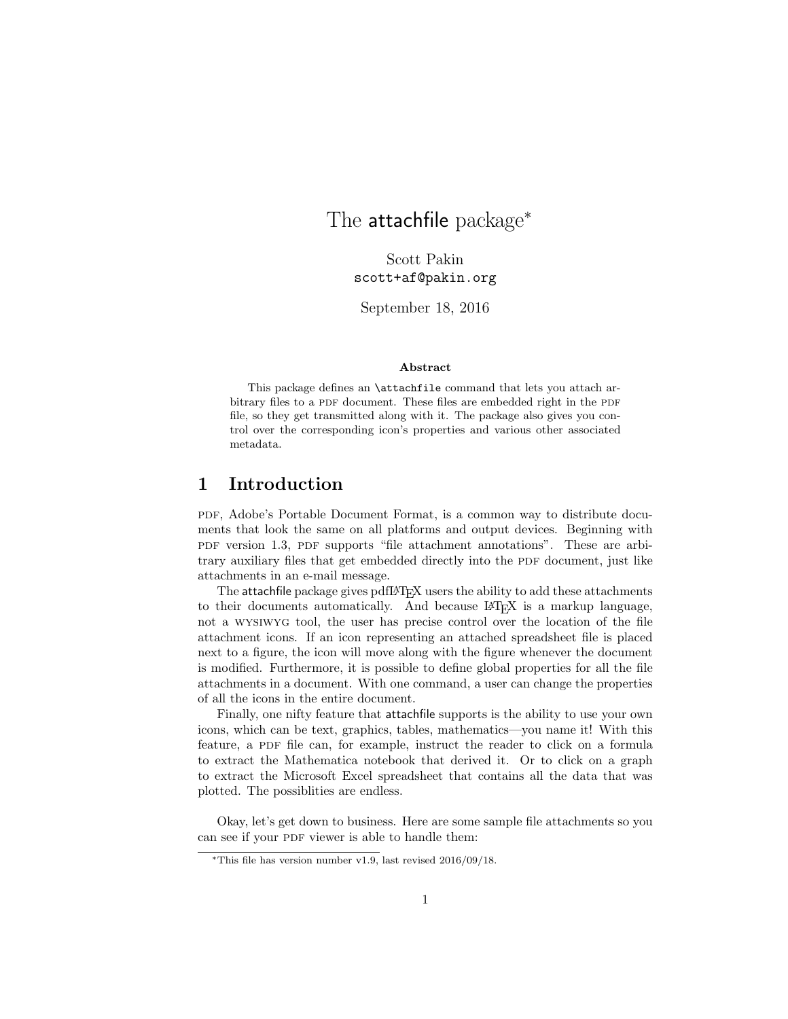# The attachfile package<sup>\*</sup>

Scott Pakin scott+af@pakin.org

September 18, 2016

### Abstract

This package defines an **\attachfile** command that lets you attach arbitrary files to a PDF document. These files are embedded right in the PDF file, so they get transmitted along with it. The package also gives you control over the corresponding icon's properties and various other associated metadata.

### 1 Introduction

pdf, Adobe's Portable Document Format, is a common way to distribute documents that look the same on all platforms and output devices. Beginning with pdf version 1.3, pdf supports "file attachment annotations". These are arbitrary auxiliary files that get embedded directly into the PDF document, just like attachments in an e-mail message.

The attachfile package gives pdfLATEX users the ability to add these attachments to their documents automatically. And because LATEX is a markup language, not a wysiwyg tool, the user has precise control over the location of the file attachment icons. If an icon representing an attached spreadsheet file is placed next to a figure, the icon will move along with the figure whenever the document is modified. Furthermore, it is possible to define global properties for all the file attachments in a document. With one command, a user can change the properties of all the icons in the entire document.

Finally, one nifty feature that attachfile supports is the ability to use your own icons, which can be text, graphics, tables, mathematics—you name it! With this feature, a PDF file can, for example, instruct the reader to click on a formula to extract the Mathematica notebook that derived it. Or to click on a graph to extract the Microsoft Excel spreadsheet that contains all the data that was plotted. The possiblities are endless.

Okay, let's get down to business. Here are some sample file attachments so you can see if your PDF viewer is able to handle them:

<sup>∗</sup>This file has version number v1.9, last revised 2016/09/18.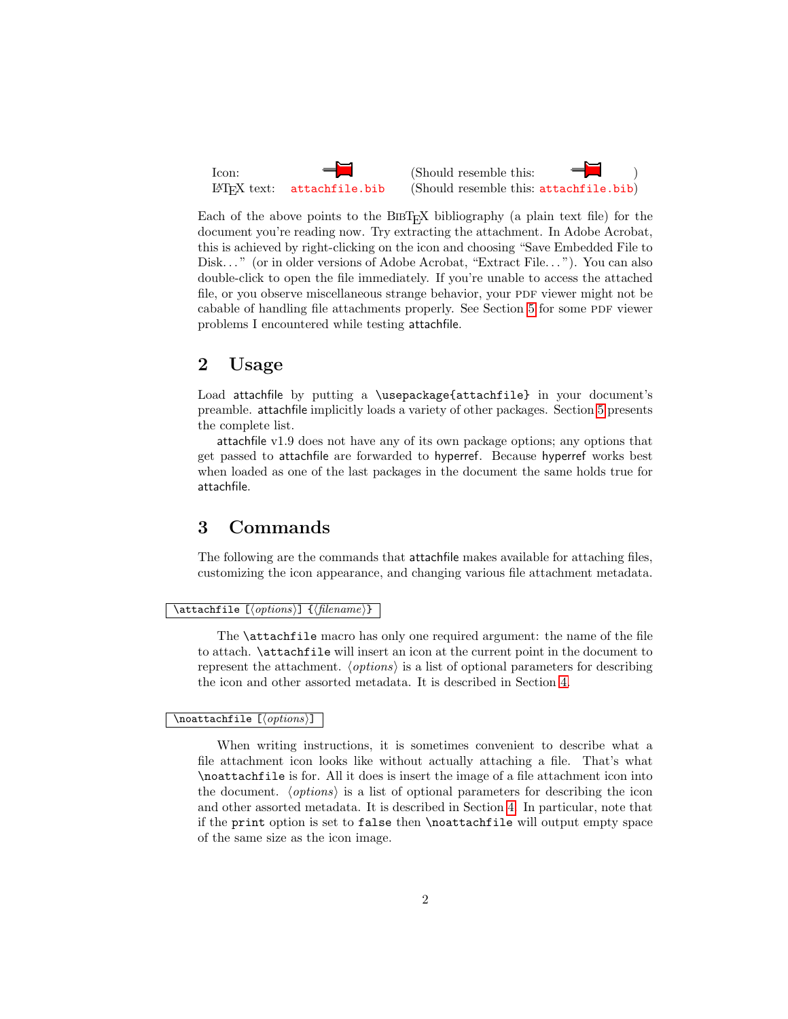

Each of the above points to the  $BIBT<sub>F</sub>X$  bibliography (a plain text file) for the document you're reading now. Try extracting the attachment. In Adobe Acrobat, this is achieved by right-clicking on the icon and choosing "Save Embedded File to Disk..." (or in older versions of Adobe Acrobat, "Extract File..."). You can also double-click to open the file immediately. If you're unable to access the attached file, or you observe miscellaneous strange behavior, your PDF viewer might not be cabable of handling file attachments properly. See Section [5](#page-7-0) for some PDF viewer problems I encountered while testing attachfile.

### 2 Usage

Load attachfile by putting a \usepackage{attachfile} in your document's preamble. attachfile implicitly loads a variety of other packages. Section [5](#page-7-0) presents the complete list.

attachfile v1.9 does not have any of its own package options; any options that get passed to attachfile are forwarded to hyperref. Because hyperref works best when loaded as one of the last packages in the document the same holds true for attachfile.

### <span id="page-1-0"></span>3 Commands

The following are the commands that attachfile makes available for attaching files, customizing the icon appearance, and changing various file attachment metadata.

#### $\texttt{defile} \quad [\langle options \rangle] \quad \{\langle filename \rangle\}$

The \attachfile macro has only one required argument: the name of the file to attach. \attachfile will insert an icon at the current point in the document to represent the attachment.  $\langle options \rangle$  is a list of optional parameters for describing the icon and other assorted metadata. It is described in Section [4.](#page-3-0)

### $\overline{\setminus{\text{noattachfile}}}$  [ $\langle \text{options}\rangle$ ]

When writing instructions, it is sometimes convenient to describe what a file attachment icon looks like without actually attaching a file. That's what \noattachfile is for. All it does is insert the image of a file attachment icon into the document.  $\langle options \rangle$  is a list of optional parameters for describing the icon and other assorted metadata. It is described in Section [4.](#page-3-0) In particular, note that if the print option is set to false then \noattachfile will output empty space of the same size as the icon image.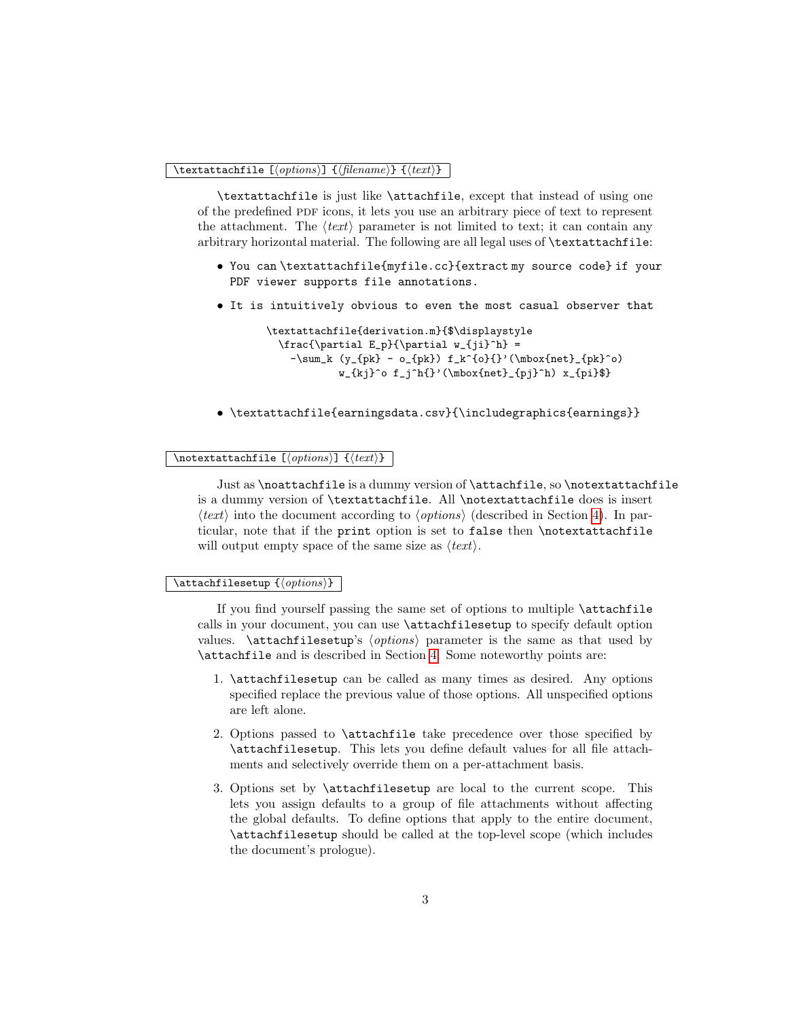### \textattachfile [ $\{options$ ]  $\{\{filename\}$  }  $\{\{texttext}\}$

\textattachfile is just like \attachfile, except that instead of using one of the predefined PDF icons, it lets you use an arbitrary piece of text to represent the attachment. The  $\langle text \rangle$  parameter is not limited to text; it can contain any arbitrary horizontal material. The following are all legal uses of \textattachfile:

- You can \textattachfile{myfile.cc}{extract my source code} if your PDF viewer supports file annotations.
- It is intuitively obvious to even the most casual observer that

```
\textattachfile{derivation.m}{$\displaystyle
  \frac{\partial E_p}{\partial w_{jj}^h} =-\sum_k (y_{pk} - o_{pk}) f_k^{o}{}'(\mbox{net}_{pk}^o)w_{kj}^o f_j^h{}'(\mbox{net}_{pi}^h) x_{pi}
```
• \textattachfile{earningsdata.csv}{\includegraphics{earnings}}

### \notextattachfile  $[\langle options\rangle]$   $\{\langle text\rangle\}$

Just as \noattachfile is a dummy version of \attachfile, so \notextattachfile is a dummy version of \textattachfile. All \notextattachfile does is insert  $\langle text \rangle$  into the document according to  $\langle options \rangle$  (described in Section [4\)](#page-3-0). In particular, note that if the print option is set to false then \notextattachfile will output empty space of the same size as  $\langle text \rangle$ .

#### $\text{lattachfilesetup} \{\langle options\rangle\}$

If you find yourself passing the same set of options to multiple \attachfile calls in your document, you can use \attachfilesetup to specify default option values.  $\atop$  \attachfilesetup's  $\{options\}$  parameter is the same as that used by \attachfile and is described in Section [4.](#page-3-0) Some noteworthy points are:

- 1. \attachfilesetup can be called as many times as desired. Any options specified replace the previous value of those options. All unspecified options are left alone.
- 2. Options passed to \attachfile take precedence over those specified by \attachfilesetup. This lets you define default values for all file attachments and selectively override them on a per-attachment basis.
- 3. Options set by \attachfilesetup are local to the current scope. This lets you assign defaults to a group of file attachments without affecting the global defaults. To define options that apply to the entire document, \attachfilesetup should be called at the top-level scope (which includes the document's prologue).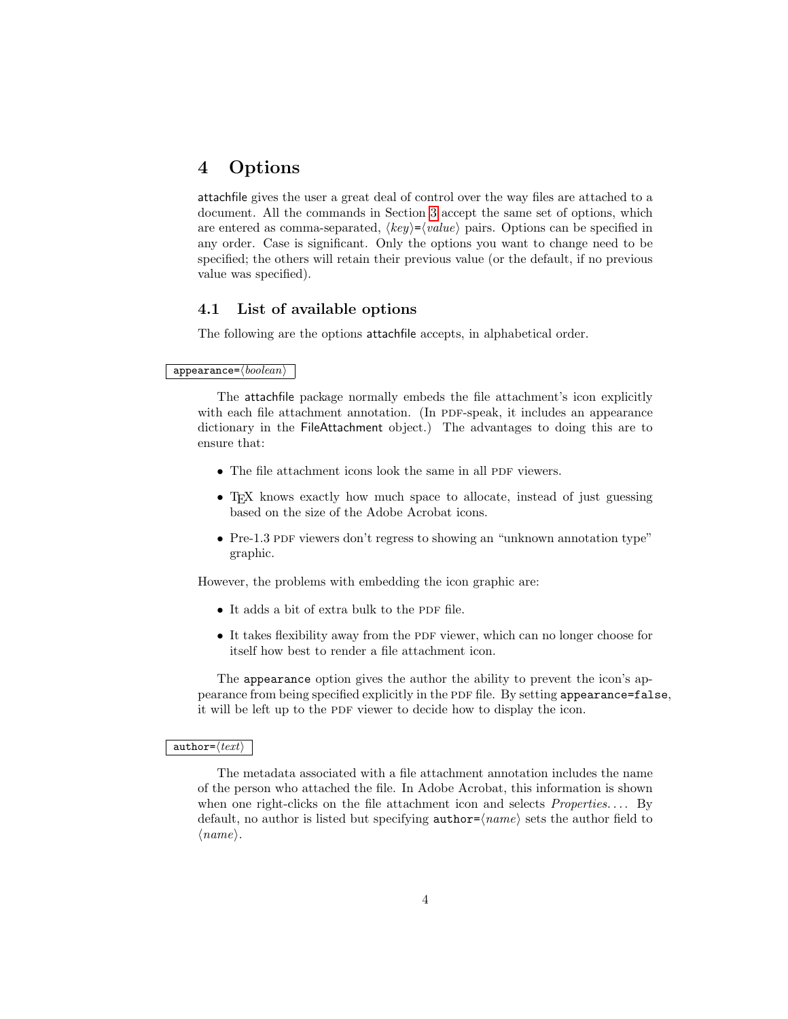### <span id="page-3-0"></span>4 Options

attachfile gives the user a great deal of control over the way files are attached to a document. All the commands in Section [3](#page-1-0) accept the same set of options, which are entered as comma-separated,  $\langle key \rangle = \langle value \rangle$  pairs. Options can be specified in any order. Case is significant. Only the options you want to change need to be specified; the others will retain their previous value (or the default, if no previous value was specified).

### <span id="page-3-1"></span>4.1 List of available options

The following are the options attachfile accepts, in alphabetical order.

### $appearance=\langle boolean \rangle$

The attachfile package normally embeds the file attachment's icon explicitly with each file attachment annotation. (In PDF-speak, it includes an appearance dictionary in the FileAttachment object.) The advantages to doing this are to ensure that:

- $\bullet$  The file attachment icons look the same in all PDF viewers.
- T<sub>EX</sub> knows exactly how much space to allocate, instead of just guessing based on the size of the Adobe Acrobat icons.
- Pre-1.3 PDF viewers don't regress to showing an "unknown annotation type" graphic.

However, the problems with embedding the icon graphic are:

- $\bullet$  It adds a bit of extra bulk to the PDF file.
- $\bullet$  It takes flexibility away from the PDF viewer, which can no longer choose for itself how best to render a file attachment icon.

The appearance option gives the author the ability to prevent the icon's appearance from being specified explicitly in the PDF file. By setting appearance=false, it will be left up to the PDF viewer to decide how to display the icon.

#### $\texttt{author}=\langle \textit{text} \rangle$

The metadata associated with a file attachment annotation includes the name of the person who attached the file. In Adobe Acrobat, this information is shown when one right-clicks on the file attachment icon and selects  $Properties...$  By default, no author is listed but specifying  $\text{author} = \langle name \rangle$  sets the author field to  $\langle name \rangle$ .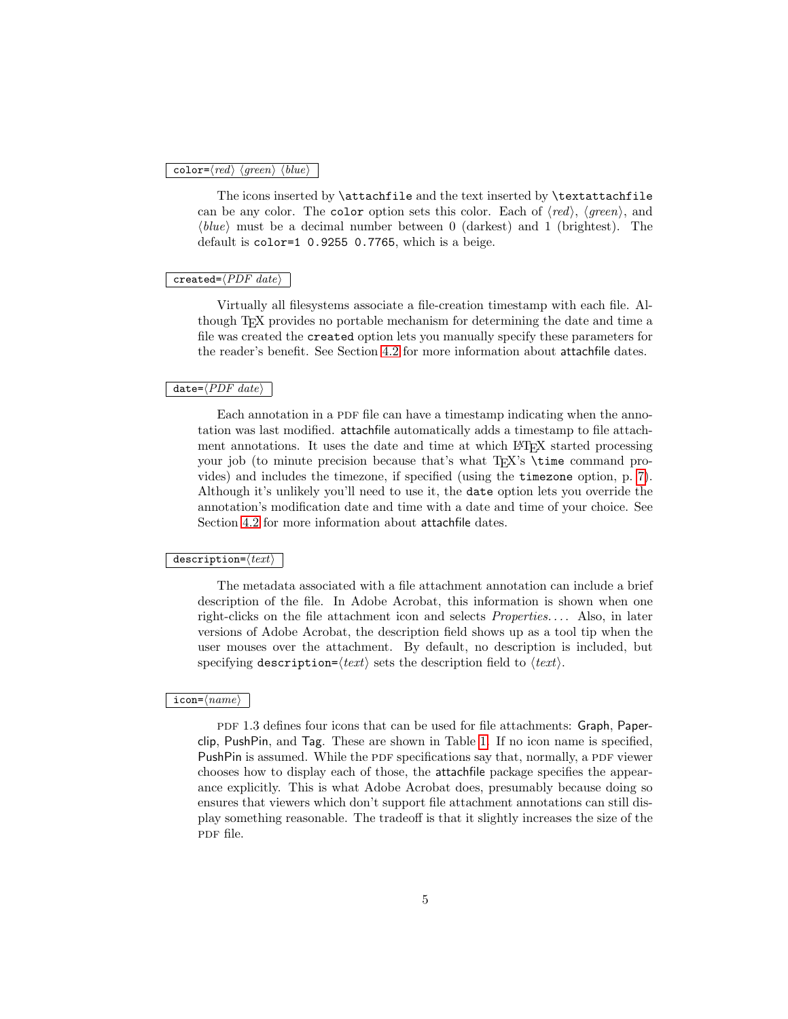#### color= $\langle red \rangle$   $\langle green \rangle$   $\langle blue \rangle$

The icons inserted by **\attachfile** and the text inserted by **\textattachfile** can be any color. The color option sets this color. Each of  $\langle red \rangle$ ,  $\langle green \rangle$ , and  $\langle blue \rangle$  must be a decimal number between 0 (darkest) and 1 (brightest). The default is color=1 0.9255 0.7765, which is a beige.

### $\overline{\text{created}=\overline{\langle PDF\ date\rangle}}$

Virtually all filesystems associate a file-creation timestamp with each file. Although TEX provides no portable mechanism for determining the date and time a file was created the created option lets you manually specify these parameters for the reader's benefit. See Section [4.2](#page-6-0) for more information about attachfile dates.

### $date={\langle PDF\ date\rangle}$

Each annotation in a PDF file can have a timestamp indicating when the annotation was last modified. attachfile automatically adds a timestamp to file attachment annotations. It uses the date and time at which LATEX started processing your job (to minute precision because that's what T<sub>EX</sub>'s \time command provides) and includes the timezone, if specified (using the timezone option, p. [7\)](#page-5-0). Although it's unlikely you'll need to use it, the date option lets you override the annotation's modification date and time with a date and time of your choice. See Section [4.2](#page-6-0) for more information about attachfile dates.

#### $description=\langle text \rangle$

The metadata associated with a file attachment annotation can include a brief description of the file. In Adobe Acrobat, this information is shown when one right-clicks on the file attachment icon and selects *Properties...*. Also, in later versions of Adobe Acrobat, the description field shows up as a tool tip when the user mouses over the attachment. By default, no description is included, but specifying description= $\langle text \rangle$  sets the description field to  $\langle text \rangle$ .

### $\mathsf{icon}=\langle name \rangle$

pdf 1.3 defines four icons that can be used for file attachments: Graph, Paperclip, PushPin, and Tag. These are shown in Table [1.](#page-5-0) If no icon name is specified, PushPin is assumed. While the PDF specifications say that, normally, a PDF viewer chooses how to display each of those, the attachfile package specifies the appearance explicitly. This is what Adobe Acrobat does, presumably because doing so ensures that viewers which don't support file attachment annotations can still display something reasonable. The tradeoff is that it slightly increases the size of the pdf file.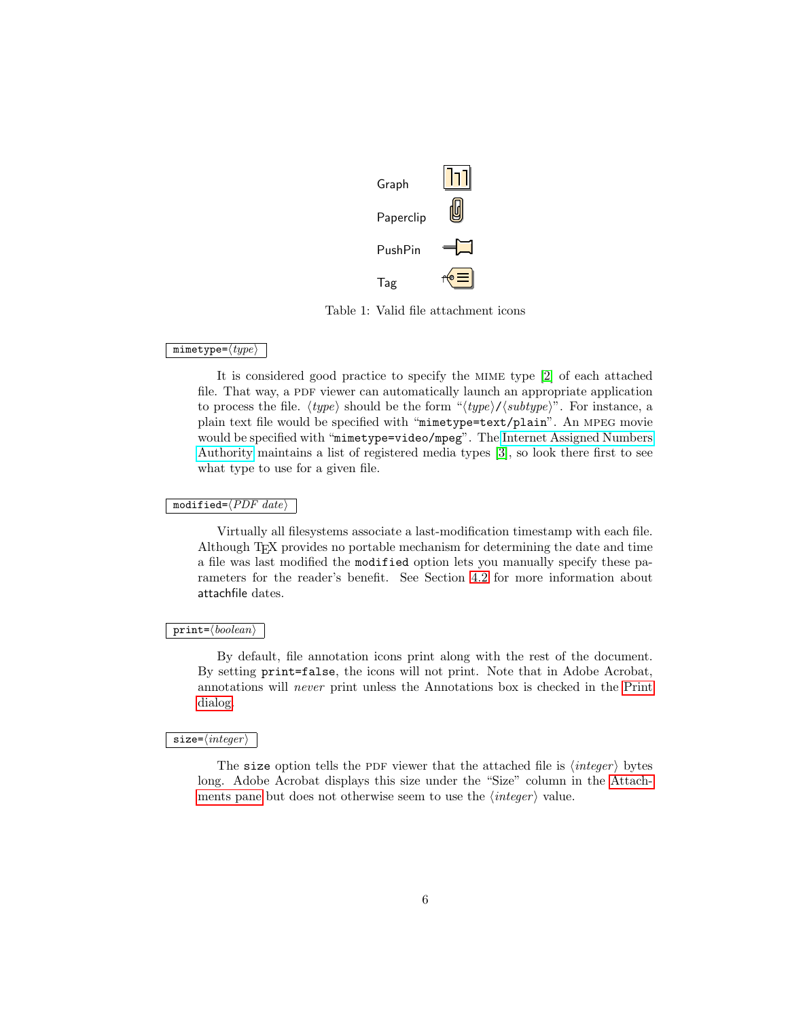

<span id="page-5-0"></span>Table 1: Valid file attachment icons

#### $mimetype=\langle type\rangle$

It is considered good practice to specify the mime type [\[2\]](#page-22-0) of each attached file. That way, a PDF viewer can automatically launch an appropriate application to process the file.  $\langle type \rangle$  should be the form " $\langle type \rangle / \langle subtype \rangle$ ". For instance, a plain text file would be specified with "mimetype=text/plain". An mpeg movie would be specified with "mimetype=video/mpeg". The [Internet Assigned Numbers](http://www.iana.org/) [Authority](http://www.iana.org/) maintains a list of registered media types [\[3\]](#page-22-1), so look there first to see what type to use for a given file.

### modified= $\langle PDF~date\rangle$

Virtually all filesystems associate a last-modification timestamp with each file. Although TEX provides no portable mechanism for determining the date and time a file was last modified the modified option lets you manually specify these parameters for the reader's benefit. See Section [4.2](#page-6-0) for more information about attachfile dates.

### $print = \langle boolean \rangle$

By default, file annotation icons print along with the rest of the document. By setting print=false, the icons will not print. Note that in Adobe Acrobat, annotations will never print unless the Annotations box is checked in the Print dialog.

### $\overline{\texttt{size}=\langle \textit{integer} \rangle}$

The size option tells the PDF viewer that the attached file is  $\langle \text{integer} \rangle$  bytes long. Adobe Acrobat displays this size under the "Size" column in the Attachments pane but does not otherwise seem to use the  $\langle \text{integer} \rangle$  value.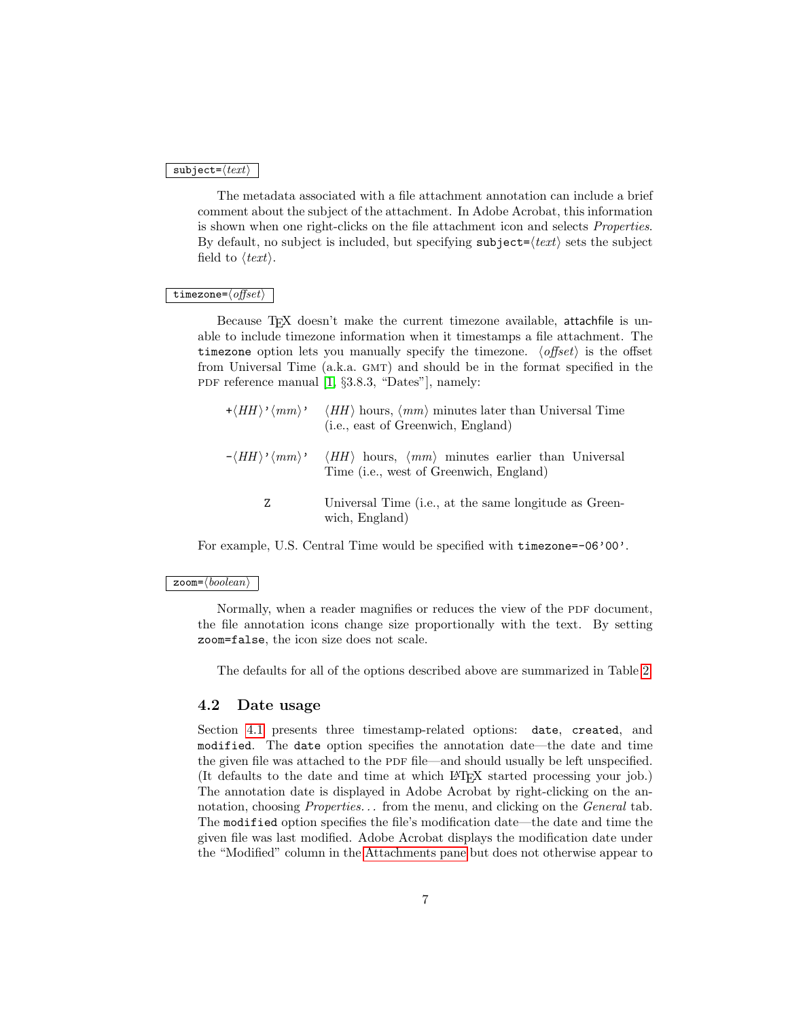### $\texttt{subject}=\langle \textit{text}\rangle$

The metadata associated with a file attachment annotation can include a brief comment about the subject of the attachment. In Adobe Acrobat, this information is shown when one right-clicks on the file attachment icon and selects Properties. By default, no subject is included, but specifying subject= $\langle text \rangle$  sets the subject field to  $\langle text \rangle$ .

#### timezone= $\langle$ offset $\rangle$

Because T<sub>EX</sub> doesn't make the current timezone available, attachfile is unable to include timezone information when it timestamps a file attachment. The timezone option lets you manually specify the timezone.  $\langle$  offset $\rangle$  is the offset from Universal Time (a.k.a. GMT) and should be in the format specified in the PDF reference manual  $[1, §3.8.3, "Dates"]$  $[1, §3.8.3, "Dates"]$ , namely:

|   | $+\langle HH \rangle' \langle mm \rangle'$ $\langle HH \rangle$ hours, $\langle mm \rangle$ minutes later than Universal Time<br>(i.e., east of Greenwich, England) |
|---|---------------------------------------------------------------------------------------------------------------------------------------------------------------------|
|   | $-\langle HH \rangle \langle mm \rangle$ $\langle HH \rangle$ hours, $\langle mm \rangle$ minutes earlier than Universal<br>Time (i.e., west of Greenwich, England) |
| Z | Universal Time (i.e., at the same longitude as Green-<br>wich, England)                                                                                             |

For example, U.S. Central Time would be specified with timezone=-06'00'.

#### $\mathsf{zoom}\text{=}\langle boolean \rangle$

Normally, when a reader magnifies or reduces the view of the PDF document, the file annotation icons change size proportionally with the text. By setting zoom=false, the icon size does not scale.

The defaults for all of the options described above are summarized in Table [2.](#page-7-1)

### <span id="page-6-0"></span>4.2 Date usage

Section [4.1](#page-3-1) presents three timestamp-related options: date, created, and modified. The date option specifies the annotation date—the date and time the given file was attached to the PDF file—and should usually be left unspecified. (It defaults to the date and time at which LATEX started processing your job.) The annotation date is displayed in Adobe Acrobat by right-clicking on the annotation, choosing *Properties...* from the menu, and clicking on the *General* tab. The modified option specifies the file's modification date—the date and time the given file was last modified. Adobe Acrobat displays the modification date under the "Modified" column in the Attachments pane but does not otherwise appear to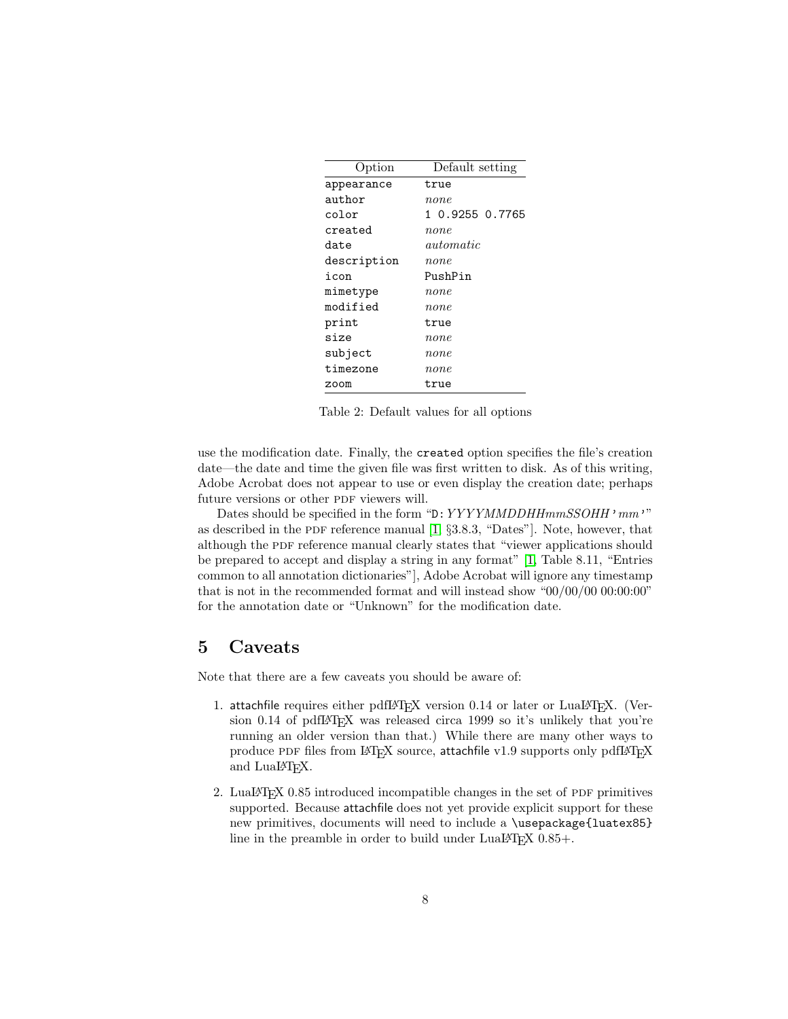| Option      | Default setting |
|-------------|-----------------|
| appearance  | true            |
| author      | $_{none}$       |
| color       | 1 0.9255 0.7765 |
| created     | none            |
| date        | $\it automatic$ |
| description | none            |
| icon        | PushPin         |
| mimetype    | none            |
| modified    | none            |
| print       | true            |
| size        | none            |
| subject     | $_{none}$       |
| timezone    | $_{none}$       |
| zoom        | true            |

<span id="page-7-1"></span>Table 2: Default values for all options

use the modification date. Finally, the created option specifies the file's creation date—the date and time the given file was first written to disk. As of this writing, Adobe Acrobat does not appear to use or even display the creation date; perhaps future versions or other PDF viewers will.

Dates should be specified in the form "D: YYYYMMDDHHmmSSOHH' mm'" as described in the PDF reference manual  $[1, §3.8.3, "Dates"]$  $[1, §3.8.3, "Dates"]$ . Note, however, that although the PDF reference manual clearly states that "viewer applications should be prepared to accept and display a string in any format" [\[1,](#page-22-2) Table 8.11, "Entries common to all annotation dictionaries"], Adobe Acrobat will ignore any timestamp that is not in the recommended format and will instead show "00/00/00 00:00:00" for the annotation date or "Unknown" for the modification date.

### <span id="page-7-0"></span>5 Caveats

Note that there are a few caveats you should be aware of:

- 1. attachfile requires either pdfLAT<sub>EX</sub> version 0.14 or later or LuaLAT<sub>EX</sub>. (Version 0.14 of pdfL<sup>AT</sup>EX was released circa 1999 so it's unlikely that you're running an older version than that.) While there are many other ways to produce PDF files from LATEX source, attachfile v1.9 supports only pdfLATEX and LuaL<sup>AT</sup>FX.
- 2. LuaL $T$ FX 0.85 introduced incompatible changes in the set of PDF primitives supported. Because attachfile does not yet provide explicit support for these new primitives, documents will need to include a \usepackage{luatex85} line in the preamble in order to build under LuaLAT<sub>E</sub>X  $0.85+$ .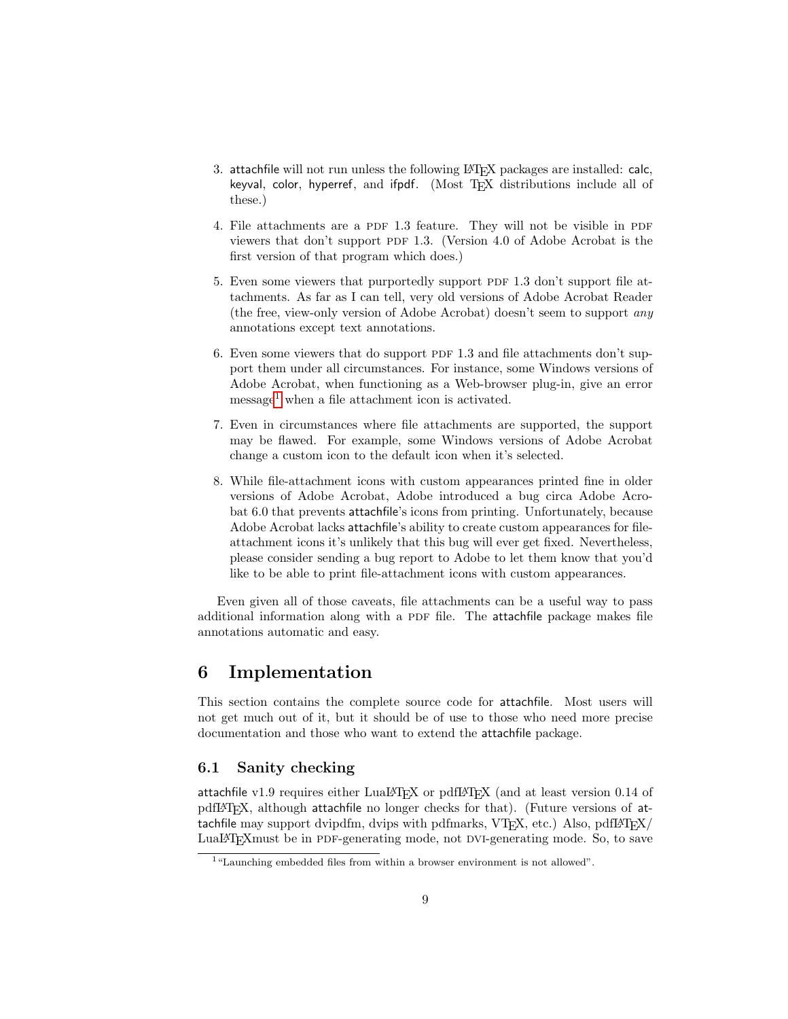- 3. attachfile will not run unless the following LAT<sub>E</sub>X packages are installed: calc, keyval, color, hyperref, and ifpdf. (Most TFX distributions include all of these.)
- 4. File attachments are a PDF 1.3 feature. They will not be visible in PDF viewers that don't support PDF 1.3. (Version 4.0 of Adobe Acrobat is the first version of that program which does.)
- 5. Even some viewers that purportedly support PDF 1.3 don't support file attachments. As far as I can tell, very old versions of Adobe Acrobat Reader (the free, view-only version of Adobe Acrobat) doesn't seem to support any annotations except text annotations.
- 6. Even some viewers that do support PDF 1.3 and file attachments don't support them under all circumstances. For instance, some Windows versions of Adobe Acrobat, when functioning as a Web-browser plug-in, give an error  $message<sup>1</sup>$  $message<sup>1</sup>$  $message<sup>1</sup>$  when a file attachment icon is activated.
- 7. Even in circumstances where file attachments are supported, the support may be flawed. For example, some Windows versions of Adobe Acrobat change a custom icon to the default icon when it's selected.
- 8. While file-attachment icons with custom appearances printed fine in older versions of Adobe Acrobat, Adobe introduced a bug circa Adobe Acrobat 6.0 that prevents attachfile's icons from printing. Unfortunately, because Adobe Acrobat lacks attachfile's ability to create custom appearances for fileattachment icons it's unlikely that this bug will ever get fixed. Nevertheless, please consider sending a bug report to Adobe to let them know that you'd like to be able to print file-attachment icons with custom appearances.

Even given all of those caveats, file attachments can be a useful way to pass additional information along with a PDF file. The attachfile package makes file annotations automatic and easy.

## 6 Implementation

This section contains the complete source code for attachfile. Most users will not get much out of it, but it should be of use to those who need more precise documentation and those who want to extend the attachfile package.

### 6.1 Sanity checking

attachfile v1.9 requires either LuaLATEX or pdfLATEX (and at least version 0.14 of pdfLATEX, although attachfile no longer checks for that). (Future versions of attachfile may support dvipdfm, dvips with pdfmarks,  $VTFX$ , etc.) Also, pdf $EFT$ LuaLAT<sub>E</sub>X must be in PDF-generating mode, not DVI-generating mode. So, to save

<span id="page-8-0"></span><sup>1</sup>"Launching embedded files from within a browser environment is not allowed".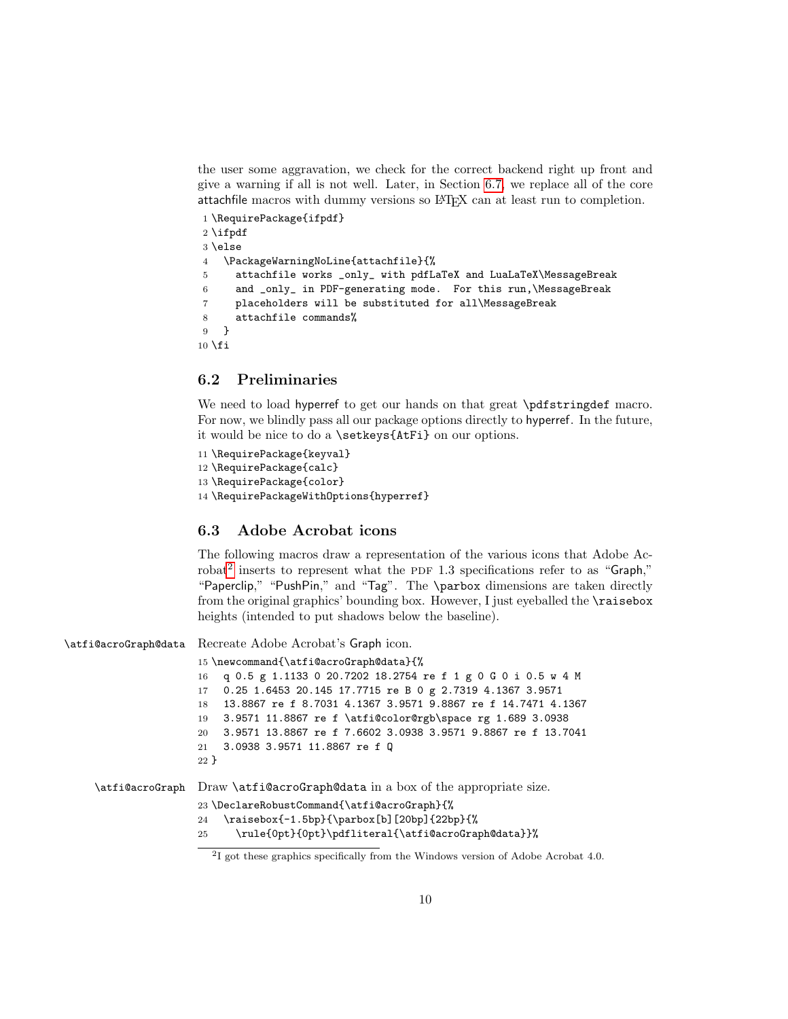the user some aggravation, we check for the correct backend right up front and give a warning if all is not well. Later, in Section [6.7,](#page-21-0) we replace all of the core attachfile macros with dummy versions so LATEX can at least run to completion.

```
1 \RequirePackage{ifpdf}
2 \ifpdf
3 \else
4 \PackageWarningNoLine{attachfile}{%
5 attachfile works _only_ with pdfLaTeX and LuaLaTeX\MessageBreak
6 and _only_ in PDF-generating mode. For this run,\MessageBreak
7 placeholders will be substituted for all\MessageBreak
8 attachfile commands%
9 }
10 \setminus fi
```
### 6.2 Preliminaries

We need to load hyperref to get our hands on that great \pdfstringdef macro. For now, we blindly pass all our package options directly to hyperref. In the future, it would be nice to do a \setkeys{AtFi} on our options.

```
11 \RequirePackage{keyval}
12 \RequirePackage{calc}
13 \RequirePackage{color}
14 \RequirePackageWithOptions{hyperref}
```
### 6.3 Adobe Acrobat icons

The following macros draw a representation of the various icons that Adobe Ac-robat<sup>[2](#page-9-0)</sup> inserts to represent what the PDF 1.3 specifications refer to as "Graph," "Paperclip," "PushPin," and "Tag". The \parbox dimensions are taken directly from the original graphics' bounding box. However, I just eyeballed the \raisebox heights (intended to put shadows below the baseline).

\atfi@acroGraph@data Recreate Adobe Acrobat's Graph icon.

```
15 \newcommand{\atfi@acroGraph@data}{%
                16 q 0.5 g 1.1133 0 20.7202 18.2754 re f 1 g 0 G 0 i 0.5 w 4 M
                17 0.25 1.6453 20.145 17.7715 re B 0 g 2.7319 4.1367 3.9571
                18 13.8867 re f 8.7031 4.1367 3.9571 9.8867 re f 14.7471 4.1367
                19 3.9571 11.8867 re f \atfi@color@rgb\space rg 1.689 3.0938
                20 3.9571 13.8867 re f 7.6602 3.0938 3.9571 9.8867 re f 13.7041
                21 3.0938 3.9571 11.8867 re f Q
                22 }
\atfi@acroGraph Draw \atfi@acroGraph@data in a box of the appropriate size.
                23 \DeclareRobustCommand{\atfi@acroGraph}{%
                24 \raisebox{-1.5bp}{\parbox[b][20bp]{22bp}{%
                25 \rule{0pt}{0pt}\pdfliteral{\atfi@acroGraph@data}}%
```
<span id="page-9-0"></span><sup>&</sup>lt;sup>2</sup>I got these graphics specifically from the Windows version of Adobe Acrobat 4.0.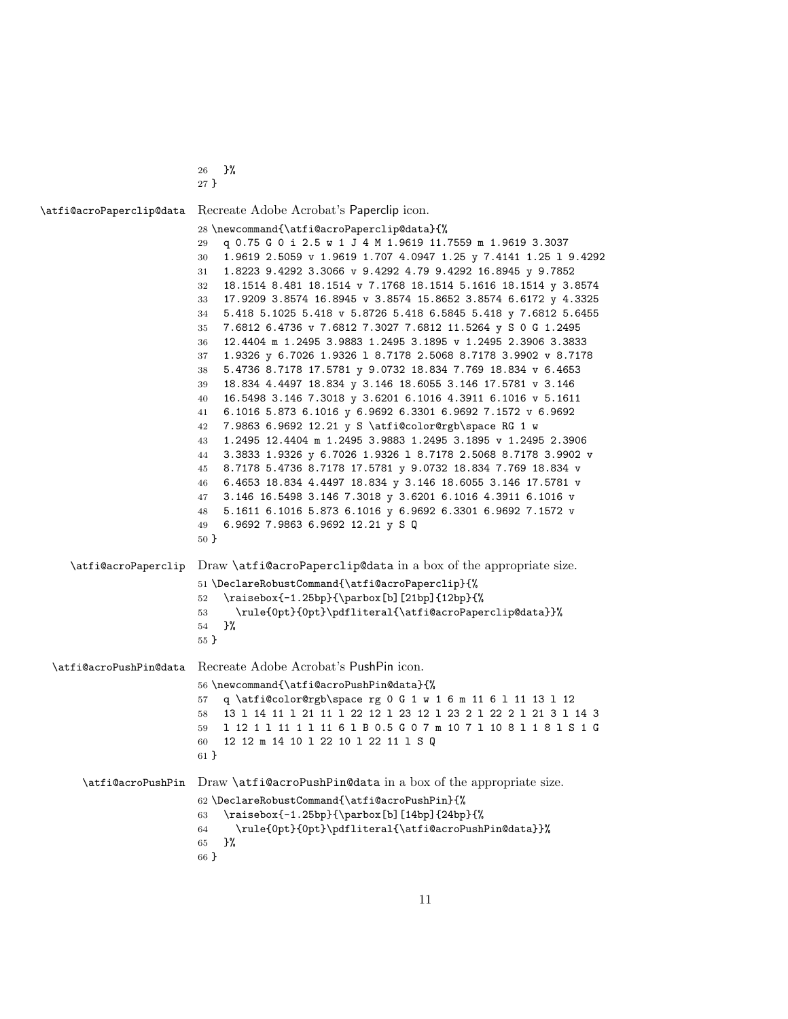}% }

```
\atfi@acroPaperclip@data Recreate Adobe Acrobat's Paperclip icon.
                         28 \newcommand{\atfi@acroPaperclip@data}{%
                         29 q 0.75 G 0 i 2.5 w 1 J 4 M 1.9619 11.7559 m 1.9619 3.3037
                         30 1.9619 2.5059 v 1.9619 1.707 4.0947 1.25 y 7.4141 1.25 l 9.4292
                         31 1.8223 9.4292 3.3066 v 9.4292 4.79 9.4292 16.8945 y 9.7852
                         32 18.1514 8.481 18.1514 v 7.1768 18.1514 5.1616 18.1514 y 3.8574
                         33 17.9209 3.8574 16.8945 v 3.8574 15.8652 3.8574 6.6172 y 4.3325
                         34 5.418 5.1025 5.418 v 5.8726 5.418 6.5845 5.418 y 7.6812 5.6455
                         35 7.6812 6.4736 v 7.6812 7.3027 7.6812 11.5264 y S 0 G 1.2495
                         36 12.4404 m 1.2495 3.9883 1.2495 3.1895 v 1.2495 2.3906 3.3833
                         37 1.9326 y 6.7026 1.9326 l 8.7178 2.5068 8.7178 3.9902 v 8.7178
                         38 5.4736 8.7178 17.5781 y 9.0732 18.834 7.769 18.834 v 6.4653
                         39 18.834 4.4497 18.834 y 3.146 18.6055 3.146 17.5781 v 3.146
                         40 16.5498 3.146 7.3018 y 3.6201 6.1016 4.3911 6.1016 v 5.1611
                         41 6.1016 5.873 6.1016 y 6.9692 6.3301 6.9692 7.1572 v 6.9692
                         42 7.9863 6.9692 12.21 y S \atfi@color@rgb\space RG 1 w
                         43 1.2495 12.4404 m 1.2495 3.9883 1.2495 3.1895 v 1.2495 2.3906
                         44 3.3833 1.9326 y 6.7026 1.9326 l 8.7178 2.5068 8.7178 3.9902 v
                         45 8.7178 5.4736 8.7178 17.5781 y 9.0732 18.834 7.769 18.834 v
                         46 6.4653 18.834 4.4497 18.834 y 3.146 18.6055 3.146 17.5781 v
                         47 3.146 16.5498 3.146 7.3018 y 3.6201 6.1016 4.3911 6.1016 v
                         48 5.1611 6.1016 5.873 6.1016 y 6.9692 6.3301 6.9692 7.1572 v
                         49 6.9692 7.9863 6.9692 12.21 y S Q
                         50 }
     \atfi@acroPaperclip Draw \atfi@acroPaperclip@data in a box of the appropriate size.
                         51 \DeclareRobustCommand{\atfi@acroPaperclip}{%
                         52 \raisebox{-1.25bp}{\parbox[b][21bp]{12bp}{%
                         53 \rule{0pt}{0pt}\pdfliteral{\atfi@acroPaperclip@data}}%
                         54 }%
                         55 }
  \atfi@acroPushPin@data Recreate Adobe Acrobat's PushPin icon.
                         56 \newcommand{\atfi@acroPushPin@data}{%
                         57 q \atfi@color@rgb\space rg 0 G 1 w 1 6 m 11 6 l 11 13 l 12
                         58 13 l 14 11 l 21 11 l 22 12 l 23 12 l 23 2 l 22 2 l 21 3 l 14 3
                         59 l 12 1 l 11 1 l 11 6 l B 0.5 G 0 7 m 10 7 l 10 8 l 1 8 l S 1 G
                         60 12 12 m 14 10 l 22 10 l 22 11 l S Q
                         61 }
      \atfi@acroPushPin Draw \atfi@acroPushPin@data in a box of the appropriate size.
                         62 \DeclareRobustCommand{\atfi@acroPushPin}{%
                         63 \raisebox{-1.25bp}{\parbox[b][14bp]{24bp}{%
                         64 \rule{0pt}{0pt}\pdfliteral{\atfi@acroPushPin@data}}%
                         65 }%
```
}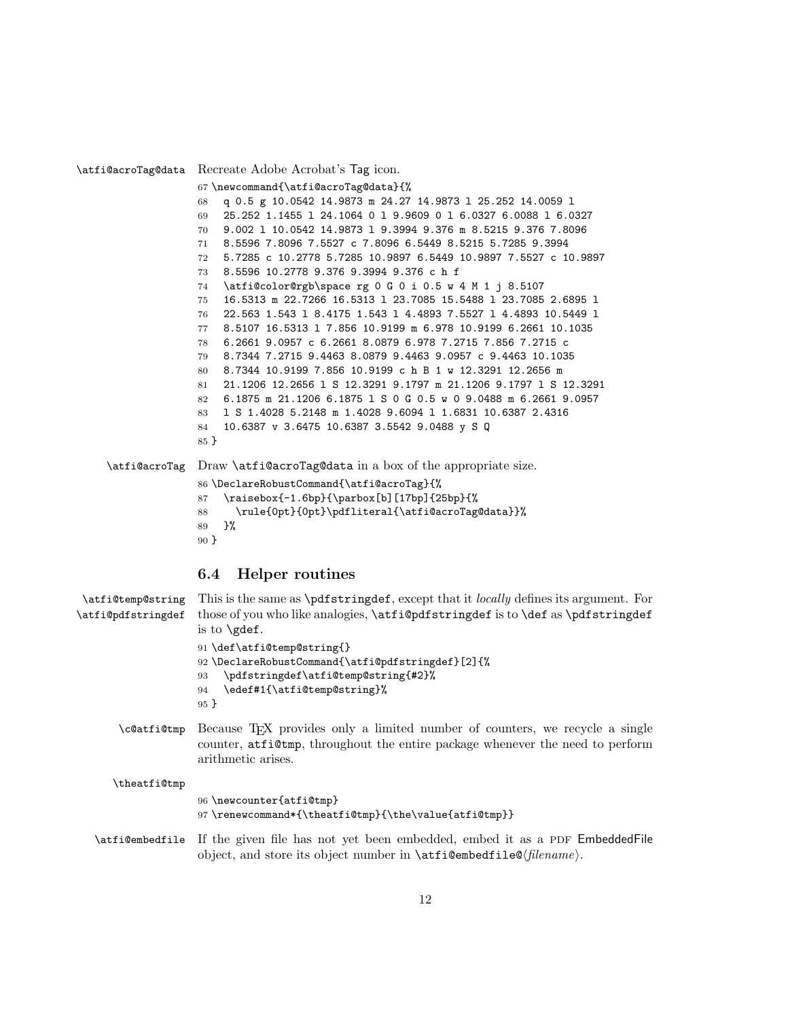\atfi@acroTag@data Recreate Adobe Acrobat's Tag icon. \newcommand{\atfi@acroTag@data}{% q 0.5 g 10.0542 14.9873 m 24.27 14.9873 l 25.252 14.0059 l 25.252 1.1455 l 24.1064 0 l 9.9609 0 l 6.0327 6.0088 l 6.0327 9.002 l 10.0542 14.9873 l 9.3994 9.376 m 8.5215 9.376 7.8096 8.5596 7.8096 7.5527 c 7.8096 6.5449 8.5215 5.7285 9.3994 5.7285 c 10.2778 5.7285 10.9897 6.5449 10.9897 7.5527 c 10.9897 8.5596 10.2778 9.376 9.3994 9.376 c h f \atfi@color@rgb\space rg 0 G 0 i 0.5 w 4 M 1 j 8.5107 16.5313 m 22.7266 16.5313 l 23.7085 15.5488 l 23.7085 2.6895 l 22.563 1.543 l 8.4175 1.543 l 4.4893 7.5527 l 4.4893 10.5449 l 8.5107 16.5313 l 7.856 10.9199 m 6.978 10.9199 6.2661 10.1035 6.2661 9.0957 c 6.2661 8.0879 6.978 7.2715 7.856 7.2715 c 8.7344 7.2715 9.4463 8.0879 9.4463 9.0957 c 9.4463 10.1035 8.7344 10.9199 7.856 10.9199 c h B 1 w 12.3291 12.2656 m 21.1206 12.2656 l S 12.3291 9.1797 m 21.1206 9.1797 l S 12.3291 6.1875 m 21.1206 6.1875 l S 0 G 0.5 w 0 9.0488 m 6.2661 9.0957 l S 1.4028 5.2148 m 1.4028 9.6094 l 1.6831 10.6387 2.4316 10.6387 v 3.6475 10.6387 3.5542 9.0488 y S Q } \atfi@acroTag Draw \atfi@acroTag@data in a box of the appropriate size. \DeclareRobustCommand{\atfi@acroTag}{% \raisebox{-1.6bp}{\parbox[b][17bp]{25bp}{% \rule{0pt}{0pt}\pdfliteral{\atfi@acroTag@data}}% }% }

### <span id="page-11-0"></span>6.4 Helper routines

```
\atfi@temp@string
\atfi@pdfstringdef
                    This is the same as \pdfstringdef, except that it locally defines its argument. For
                    those of you who like analogies, \atfi@pdfstringdef is to \def as \pdfstringdef
                    is to \gdef.
                    91 \def\atfi@temp@string{}
                    92 \DeclareRobustCommand{\atfi@pdfstringdef}[2]{%
                    93 \pdfstringdef\atfi@temp@string{#2}%
                    94 \edef#1{\atfi@temp@string}%
                    95 }
       \c@atfi@tmp Because TEX provides only a limited number of counters, we recycle a single
                    counter, atfi@tmp, throughout the entire package whenever the need to perform
                    arithmetic arises.
      \theatfi@tmp
```

```
96 \newcounter{atfi@tmp}
97 \renewcommand*{\theatfi@tmp}{\the\value{atfi@tmp}}
```
\atfi@embedfile If the given file has not yet been embedded, embed it as a PDF EmbeddedFile object, and store its object number in  $\atop$  atfi@embedfile@\filename\.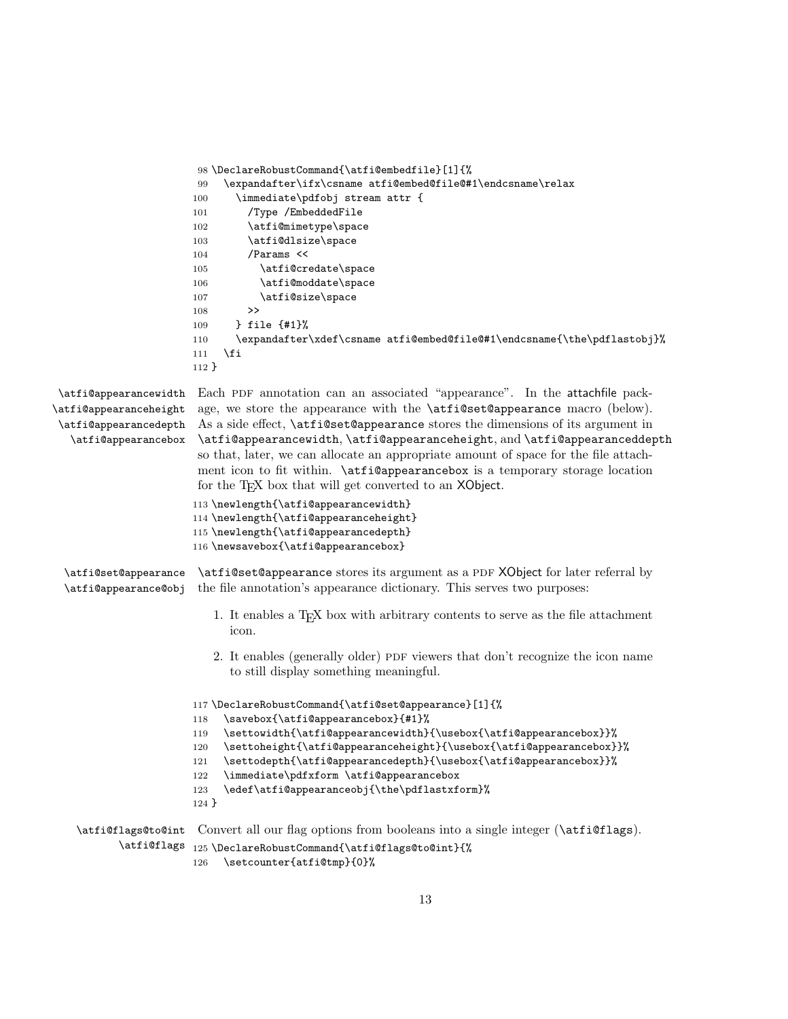```
98 \DeclareRobustCommand{\atfi@embedfile}[1]{%
                       99 \expandafter\ifx\csname atfi@embed@file@#1\endcsname\relax
                       100 \immediate\pdfobj stream attr {
                       101 /Type /EmbeddedFile
                       102 \atfi@mimetype\space
                       103 \atfi@dlsize\space
                       104 /Params <<
                       105 \atfi@credate\space
                       106 \atfi@moddate\space
                       107 \atfi@size\space
                       108 >>
                       109 } file {#1}%
                       110 \expandafter\xdef\csname atfi@embed@file@#1\endcsname{\the\pdflastobj}%
                       111 \fi
                       112 }
\atfi@appearancewidth
\atfi@appearanceheight
\atfi@appearancedepth
   \atfi@appearancebox
                       Each PDF annotation can an associated "appearance". In the attachfile pack-
                       age, we store the appearance with the \atfi@set@appearance macro (below).
                       As a side effect, \atfi@set@appearance stores the dimensions of its argument in
                       \atfi@appearancewidth, \atfi@appearanceheight, and \atfi@appearanceddepth
                       so that, later, we can allocate an appropriate amount of space for the file attach-
                       ment icon to fit within. \alpha is a temporary storage location
                       for the T<sub>EX</sub> box that will get converted to an XObject.
                       113 \newlength{\atfi@appearancewidth}
                       114 \newlength{\atfi@appearanceheight}
                       115 \newlength{\atfi@appearancedepth}
                       116 \newsavebox{\atfi@appearancebox}
 \atfi@set@appearance
 \atfi@appearance@obj
                       \atfi@set@appearance stores its argument as a PDF XObject for later referral by
                       the file annotation's appearance dictionary. This serves two purposes:
                          1. It enables a TEX box with arbitrary contents to serve as the file attachment
                             icon.
                          2. It enables (generally older) PDF viewers that don't recognize the icon name
                             to still display something meaningful.
                       117 \DeclareRobustCommand{\atfi@set@appearance}[1]{%
                       118 \savebox{\atfi@appearancebox}{#1}%
                       119 \settowidth{\atfi@appearancewidth}{\usebox{\atfi@appearancebox}}%
                       120 \settoheight{\atfi@appearanceheight}{\usebox{\atfi@appearancebox}}%
                       121 \settodepth{\atfi@appearancedepth}{\usebox{\atfi@appearancebox}}%
                       122 \immediate\pdfxform \atfi@appearancebox
                       123 \edef\atfi@appearanceobj{\the\pdflastxform}%
                       124 }
    \atfi@flags@to@int
Convert all our flag options from booleans into a single integer (\atfi@flags).
           \atfi@flags 125\DeclareRobustCommand{\atfi@flags@to@int}{%
                       126 \setcounter{atfi@tmp}{0}%
```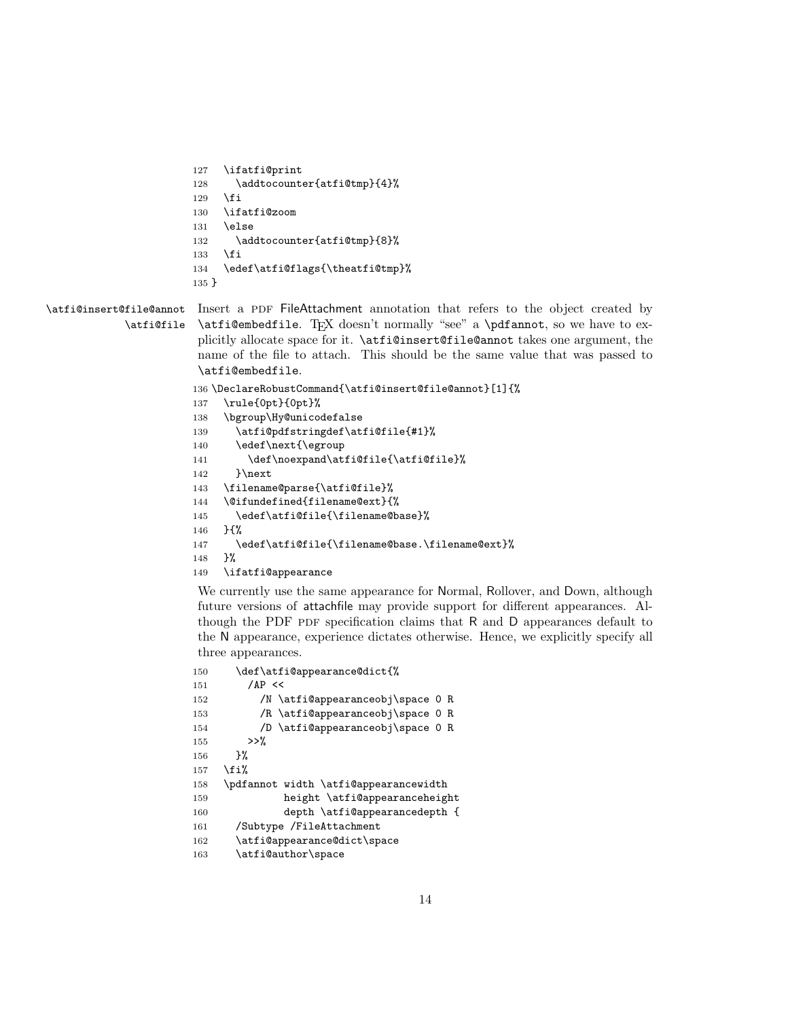```
127 \ifatfi@print
128 \addtocounter{atfi@tmp}{4}%
129 \mathbf{f} i
130 \ifatfi@zoom
131 \else
132 \addtocounter{atfi@tmp}{8}%
133 \fi
134 \edef\atfi@flags{\theatfi@tmp}%
135 }
```
#### \atfi@insert@file@annot \atfi@file Insert a PDF FileAttachment annotation that refers to the object created by \atfi@embedfile. TEX doesn't normally "see" a \pdfannot, so we have to explicitly allocate space for it. \atfi@insert@file@annot takes one argument, the name of the file to attach. This should be the same value that was passed to \atfi@embedfile.

```
136 \DeclareRobustCommand{\atfi@insert@file@annot}[1]{%
137 \rule{0pt}{0pt}%
138 \bgroup\Hy@unicodefalse
139 \atfi@pdfstringdef\atfi@file{#1}%
140 \edef\next{\egroup
141 \def\noexpand\atfi@file{\atfi@file}%
142 }\next
143 \filename@parse{\atfi@file}%
144 \@ifundefined{filename@ext}{%
145 \edef\atfi@file{\filename@base}%
146 }{%
147 \edef\atfi@file{\filename@base.\filename@ext}%
148 }%
149 \ifatfi@appearance
```
We currently use the same appearance for Normal, Rollover, and Down, although future versions of attachfile may provide support for different appearances. Although the PDF pDF specification claims that R and D appearances default to the N appearance, experience dictates otherwise. Hence, we explicitly specify all three appearances.

```
150 \def\atfi@appearance@dict{%
151 / AP <<
152 /N \atfi@appearanceobj\space 0 R
153 /R \atfi@appearanceobj\space 0 R
154 /D \atfi@appearanceobj\space 0 R
155 >>\%156 }%
157 \fi%
158 \pdfannot width \atfi@appearancewidth
159 height \atfi@appearanceheight
160 depth \atfi@appearancedepth {
161 /Subtype /FileAttachment
162 \atfi@appearance@dict\space
163 \atfi@author\space
```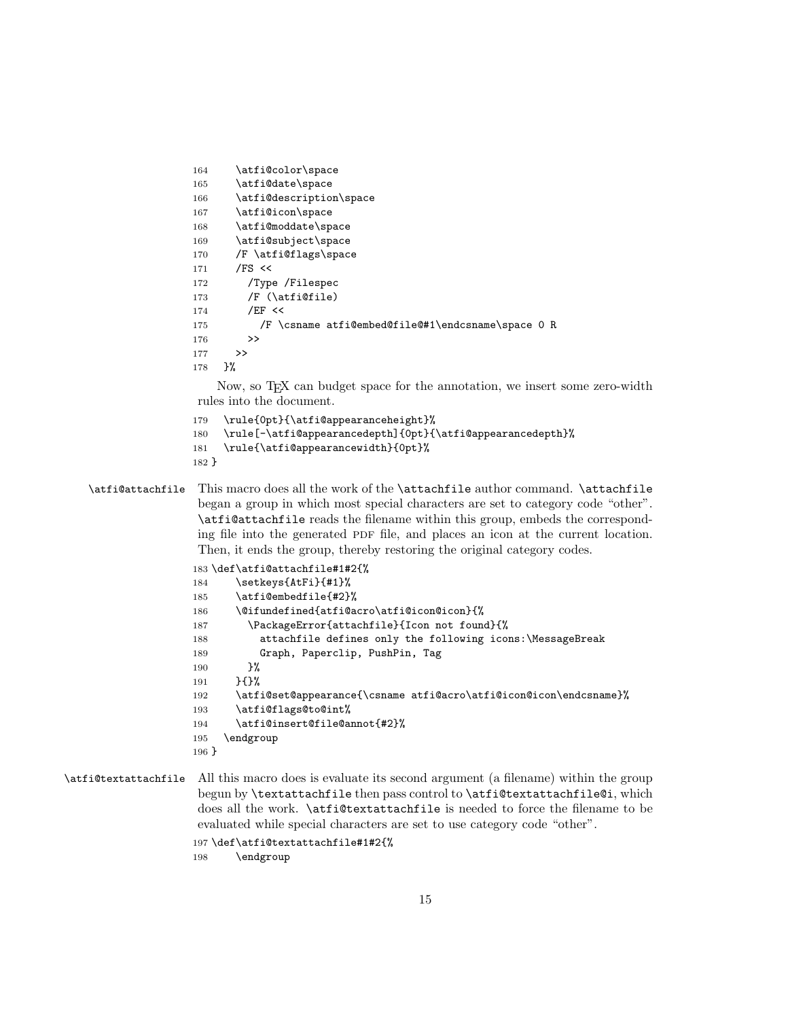```
164 \atfi@color\space
165 \atfi@date\space
166 \atfi@description\space
167 \atfi@icon\space
168 \atfi@moddate\space
169 \atfi@subject\space
170 /F \atfi@flags\space
171 /FS <<
172 /Type /Filespec
173 /F (\text{tifille})174 / EF <<
175 /F \csname atfi@embed@file@#1\endcsname\space 0 R
176 >>
177 >>
178 }%
```
Now, so T<sub>E</sub>X can budget space for the annotation, we insert some zero-width rules into the document.

- 179 \rule{0pt}{\atfi@appearanceheight}%
- 180 \rule[-\atfi@appearancedepth]{0pt}{\atfi@appearancedepth}%
- 181 \rule{\atfi@appearancewidth}{0pt}%
- 182 }

\atfi@attachfile This macro does all the work of the \attachfile author command. \attachfile began a group in which most special characters are set to category code "other". \atfi@attachfile reads the filename within this group, embeds the corresponding file into the generated PDF file, and places an icon at the current location. Then, it ends the group, thereby restoring the original category codes.

```
183 \def\atfi@attachfile#1#2{%
184 \setkeys{AtFi}{#1}%
185 \atfi@embedfile{#2}%
186 \@ifundefined{atfi@acro\atfi@icon@icon}{%
187 \PackageError{attachfile}{Icon not found}{%
188 attachfile defines only the following icons:\MessageBreak
189 Graph, Paperclip, PushPin, Tag
190 }%
191 }{}%
192 \atfi@set@appearance{\csname atfi@acro\atfi@icon@icon\endcsname}%
193 \atfi@flags@to@int%
194 \atfi@insert@file@annot{#2}%
195 \endgroup
196 }
```

```
\atfi@textattachfile All this macro does is evaluate its second argument (a filename) within the group
                       begun by \textattachfile then pass control to \atfi@textattachfile@i, which
                       does all the work. \atfi@textattachfile is needed to force the filename to be
                       evaluated while special characters are set to use category code "other".
```

```
197 \def\atfi@textattachfile#1#2{%
198 \endgroup
```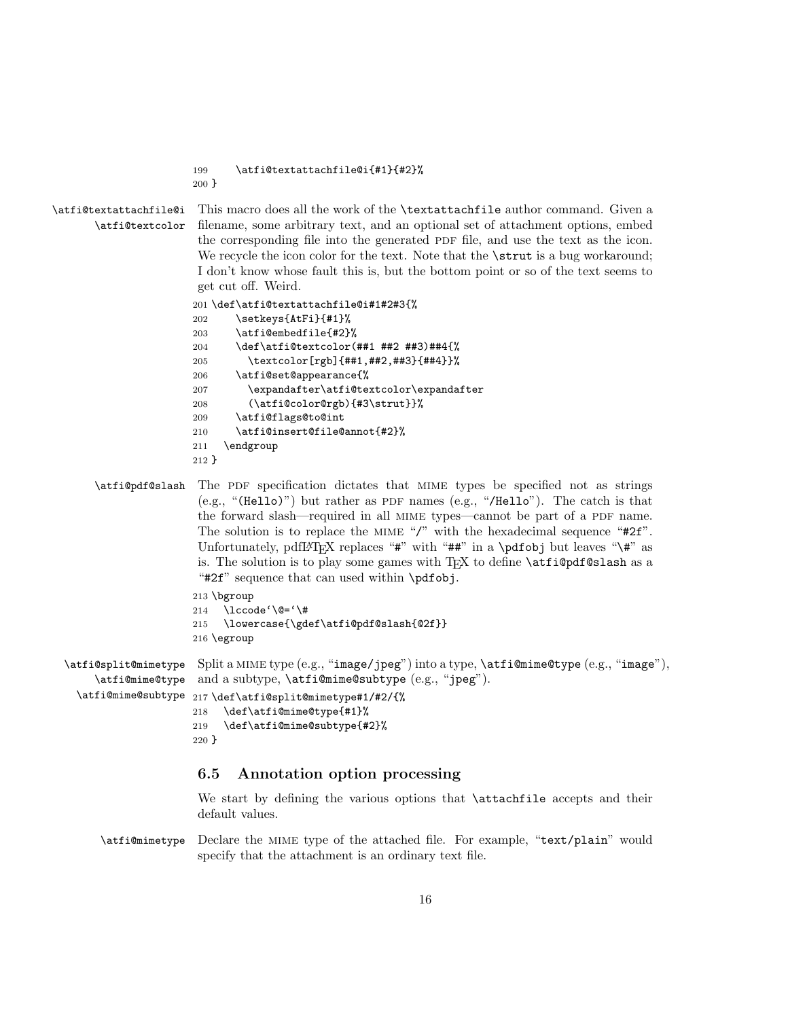199 \atfi@textattachfile@i{#1}{#2}%

200 }

\atfi@textattachfile@i This macro does all the work of the \textattachfile author command. Given a \atfi@textcolor filename, some arbitrary text, and an optional set of attachment options, embed the corresponding file into the generated PDF file, and use the text as the icon. We recycle the icon color for the text. Note that the **\strut** is a bug workaround; I don't know whose fault this is, but the bottom point or so of the text seems to get cut off. Weird.

```
201 \def\atfi@textattachfile@i#1#2#3{%
202 \setkeys{AtFi}{#1}%
203 \atfi@embedfile{#2}%
204 \def\atfi@textcolor(##1 ##2 ##3)##4{%
205 \textcolor[rgb]{##1,##2,##3}{##4}}%
206 \atfi@set@appearance{%
207 \expandafter\atfi@textcolor\expandafter
208 (\atfi@color@rgb){#3\strut}}%
209 \atfi@flags@to@int
210 \atfi@insert@file@annot{#2}%
211 \endgroup
212 }
```
\atfi@pdf@slash The pdf specification dictates that mime types be specified not as strings (e.g., "(Hello)") but rather as PDF names (e.g., "/Hello"). The catch is that the forward slash—required in all MIME types—cannot be part of a PDF name. The solution is to replace the MIME "/" with the hexadecimal sequence "#2f". Unfortunately, pdfLAT<sub>EX</sub> replaces " $\#$ " with " $\#$ " in a \pdfobj but leaves "\ $\#$ " as is. The solution is to play some games with  $T_{F}X$  to define  $\text{aff}\mathfrak{g}_1\$ "#2f" sequence that can used within \pdfobj.

```
213 \bgroup
                     214 \lccode'\@='\#
                     215 \lowercase{\gdef\atfi@pdf@slash{@2f}}
                     216 \egroup
\alphatfi@split@mimetype Split a MIME type (e.g., "image/jpeg") into a type, \alphatfi@mime@type (e.g., "image"),
     \atfi@mime@type
and a subtype, \atfi@mime@subtype (e.g., "jpeg").
  \atfi@mime@subtype
217 \def\atfi@split@mimetype#1/#2/{%
                     218 \def\atfi@mime@type{#1}%
```

```
219 \def\atfi@mime@subtype{#2}%
220 }
```
### <span id="page-15-0"></span>6.5 Annotation option processing

We start by defining the various options that \attachfile accepts and their default values.

\atfi@mimetype Declare the mime type of the attached file. For example, "text/plain" would specify that the attachment is an ordinary text file.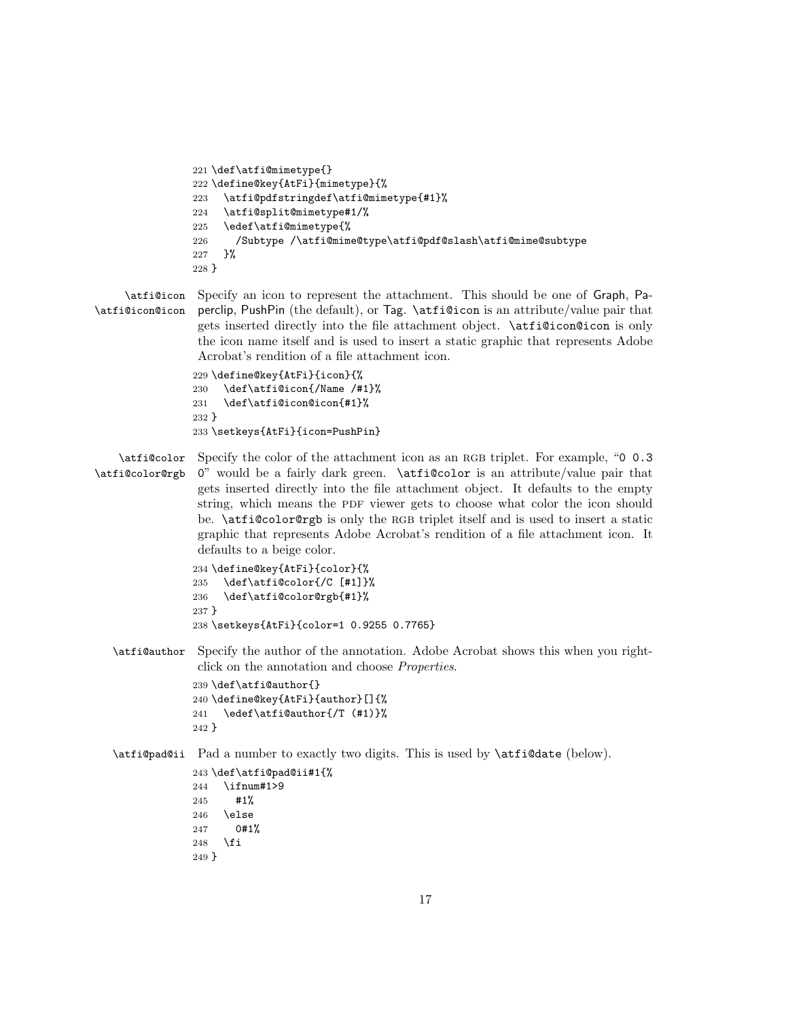```
221 \def\atfi@mimetype{}
222 \define@key{AtFi}{mimetype}{%
223 \atfi@pdfstringdef\atfi@mimetype{#1}%
224 \atfi@split@mimetype#1/%
225 \edef\atfi@mimetype{%
226 /Subtype /\atfi@mime@type\atfi@pdf@slash\atfi@mime@subtype
227 }%
228 }
```
\atfi@icon Specify an icon to represent the attachment. This should be one of Graph, Pa-\atfi@icon@icon perclip, PushPin (the default), or Tag. \atfi@icon is an attribute/value pair that gets inserted directly into the file attachment object. \atfi@icon@icon is only the icon name itself and is used to insert a static graphic that represents Adobe Acrobat's rendition of a file attachment icon.

```
229 \define@key{AtFi}{icon}{%
230 \def\atfi@icon{/Name /#1}%
231 \def\atfi@icon@icon{#1}%
232 }
233 \setkeys{AtFi}{icon=PushPin}
```
\atfi@color \atfi@color@rgb Specify the color of the attachment icon as an RGB triplet. For example, "0 0.3" " would be a fairly dark green. \atfi@color is an attribute/value pair that gets inserted directly into the file attachment object. It defaults to the empty string, which means the PDF viewer gets to choose what color the icon should be. \atfi@color@rgb is only the rgb triplet itself and is used to insert a static graphic that represents Adobe Acrobat's rendition of a file attachment icon. It defaults to a beige color.

```
234 \define@key{AtFi}{color}{%
235 \def\atfi@color{/C [#1]}%
236 \def\atfi@color@rgb{#1}%
237 }
238 \setkeys{AtFi}{color=1 0.9255 0.7765}
```
\atfi@author Specify the author of the annotation. Adobe Acrobat shows this when you rightclick on the annotation and choose Properties.

```
239 \def\atfi@author{}
240 \define@key{AtFi}{author}[]{%
241 \edef\atfi@author{/T (#1)}%
242 }
```
### \atfi@pad@ii Pad a number to exactly two digits. This is used by \atfi@date (below).

 \def\atfi@pad@ii#1{% \ifnum#1>9 #1% \else 0#1% \fi }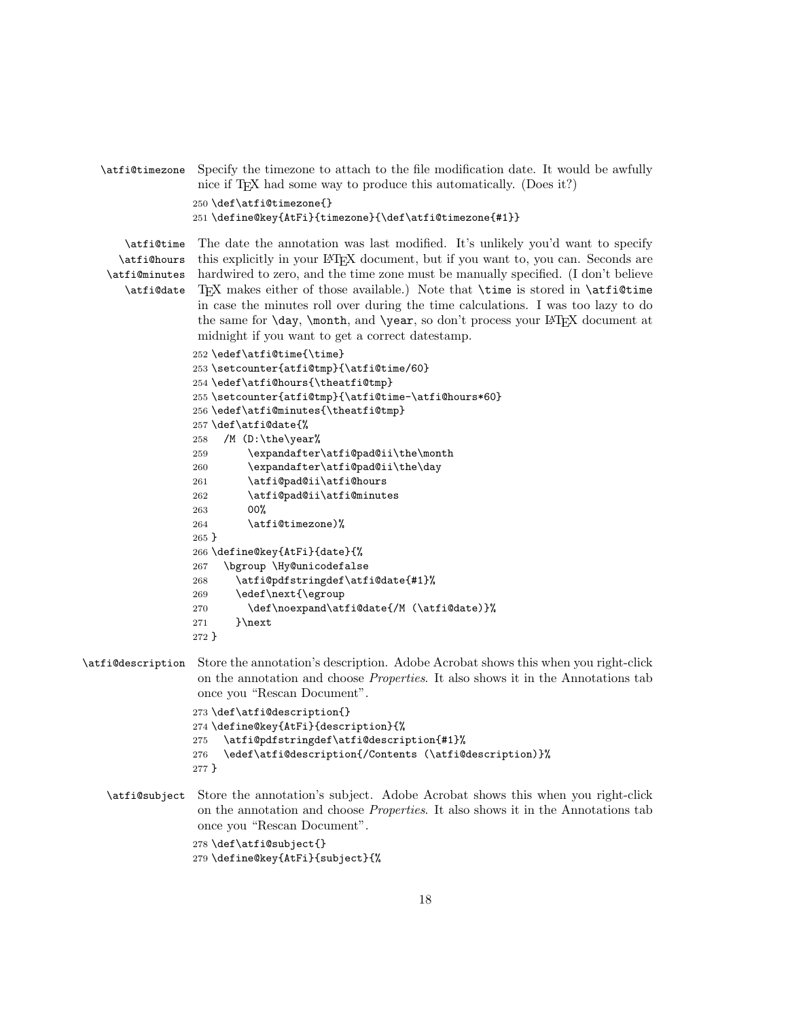```
\atfi@timezone Specify the timezone to attach to the file modification date. It would be awfully
                 nice if T<sub>E</sub>X had some way to produce this automatically. (Does it?)
                250 \def\atfi@timezone{}
                251 \define@key{AtFi}{timezone}{\def\atfi@timezone{#1}}
```
\atfi@time \atfi@date

\atfi@hours this explicitly in your LATEX document, but if you want to, you can. Seconds are \atfi@minutes hardwired to zero, and the time zone must be manually specified. (I don't believe The date the annotation was last modified. It's unlikely you'd want to specify TEX makes either of those available.) Note that \time is stored in \atfi@time in case the minutes roll over during the time calculations. I was too lazy to do the same for  $\day$ ,  $\month$ , and  $\year$ , so don't process your LATEX document at midnight if you want to get a correct datestamp.

```
252 \edef\atfi@time{\time}
253 \setcounter{atfi@tmp}{\atfi@time/60}
254 \edef\atfi@hours{\theatfi@tmp}
255 \setcounter{atfi@tmp}{\atfi@time-\atfi@hours*60}
256 \edef\atfi@minutes{\theatfi@tmp}
257 \def\atfi@date{%
258 /M (D:\the\year%
259 \expandafter\atfi@pad@ii\the\month
260 \expandafter\atfi@pad@ii\the\day
261 \atfi@pad@ii\atfi@hours
262 \atfi@pad@ii\atfi@minutes
263 00%
264 \atfi@timezone)%
265 }
266 \define@key{AtFi}{date}{%
267 \bgroup \Hy@unicodefalse
268 \atfi@pdfstringdef\atfi@date{#1}%
269 \edef\next{\egroup
270 \def\noexpand\atfi@date{/M (\atfi@date)}%
271 }\next
272 }
```

```
\atfi@description Store the annotation's description. Adobe Acrobat shows this when you right-click
                    on the annotation and choose Properties. It also shows it in the Annotations tab
                    once you "Rescan Document".
```

```
273 \def\atfi@description{}
274 \define@key{AtFi}{description}{%
275 \atfi@pdfstringdef\atfi@description{#1}%
276 \edef\atfi@description{/Contents (\atfi@description)}%
277 }
```
\atfi@subject Store the annotation's subject. Adobe Acrobat shows this when you right-click on the annotation and choose Properties. It also shows it in the Annotations tab once you "Rescan Document".

> 278 \def\atfi@subject{} 279 \define@key{AtFi}{subject}{%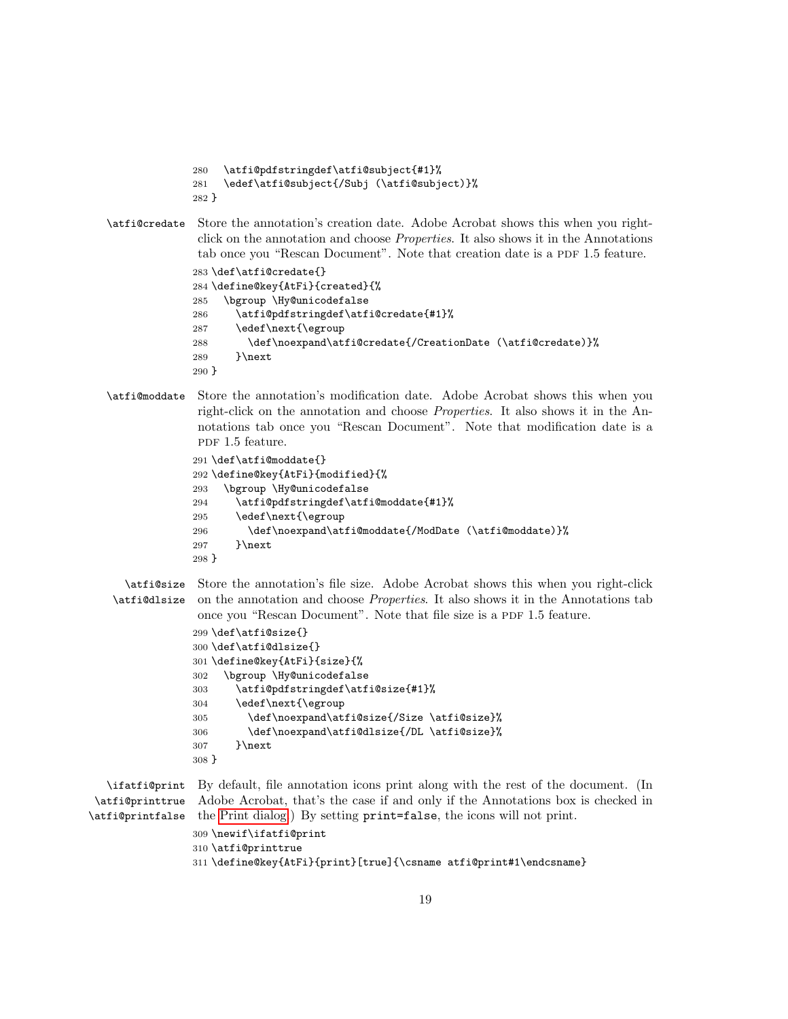```
280 \atfi@pdfstringdef\atfi@subject{#1}%
281 \edef\atfi@subject{/Subj (\atfi@subject)}%
282 }
```
\atfi@credate Store the annotation's creation date. Adobe Acrobat shows this when you rightclick on the annotation and choose Properties. It also shows it in the Annotations tab once you "Rescan Document". Note that creation date is a PDF 1.5 feature.

```
283 \def\atfi@credate{}
284 \define@key{AtFi}{created}{%
285 \bgroup \Hy@unicodefalse
286 \atfi@pdfstringdef\atfi@credate{#1}%
287 \edef\next{\egroup
288 \def\noexpand\atfi@credate{/CreationDate (\atfi@credate)}%
289 }\next
290 }
```
\atfi@moddate Store the annotation's modification date. Adobe Acrobat shows this when you right-click on the annotation and choose Properties. It also shows it in the Annotations tab once you "Rescan Document". Note that modification date is a pdf 1.5 feature.

```
291 \def\atfi@moddate{}
292 \define@key{AtFi}{modified}{%
293 \bgroup \Hy@unicodefalse
294 \atfi@pdfstringdef\atfi@moddate{#1}%
295 \edef\next{\egroup
296 \def\noexpand\atfi@moddate{/ModDate (\atfi@moddate)}%
297 }\next
298 }
```

```
\atfi@size
Store the annotation's file size. Adobe Acrobat shows this when you right-click
\atfi@dlsize on the annotation and choose Properties. It also shows it in the Annotations tab
              once you "Rescan Document". Note that file size is a PDF 1.5 feature.
```

```
299 \def\atfi@size{}
300 \def\atfi@dlsize{}
301 \define@key{AtFi}{size}{%
302 \bgroup \Hy@unicodefalse
303 \atfi@pdfstringdef\atfi@size{#1}%
304 \edef\next{\egroup
305 \def\noexpand\atfi@size{/Size \atfi@size}%
306 \def\noexpand\atfi@dlsize{/DL \atfi@size}%
307 }\next
308 }
```
\ifatfi@print By default, file annotation icons print along with the rest of the document. (In \atfi@printtrue Adobe Acrobat, that's the case if and only if the Annotations box is checked in \atfi@printfalse the Print dialog.) By setting print=false, the icons will not print.

```
309 \newif\ifatfi@print
310 \atfi@printtrue
311 \define@key{AtFi}{print}[true]{\csname atfi@print#1\endcsname}
```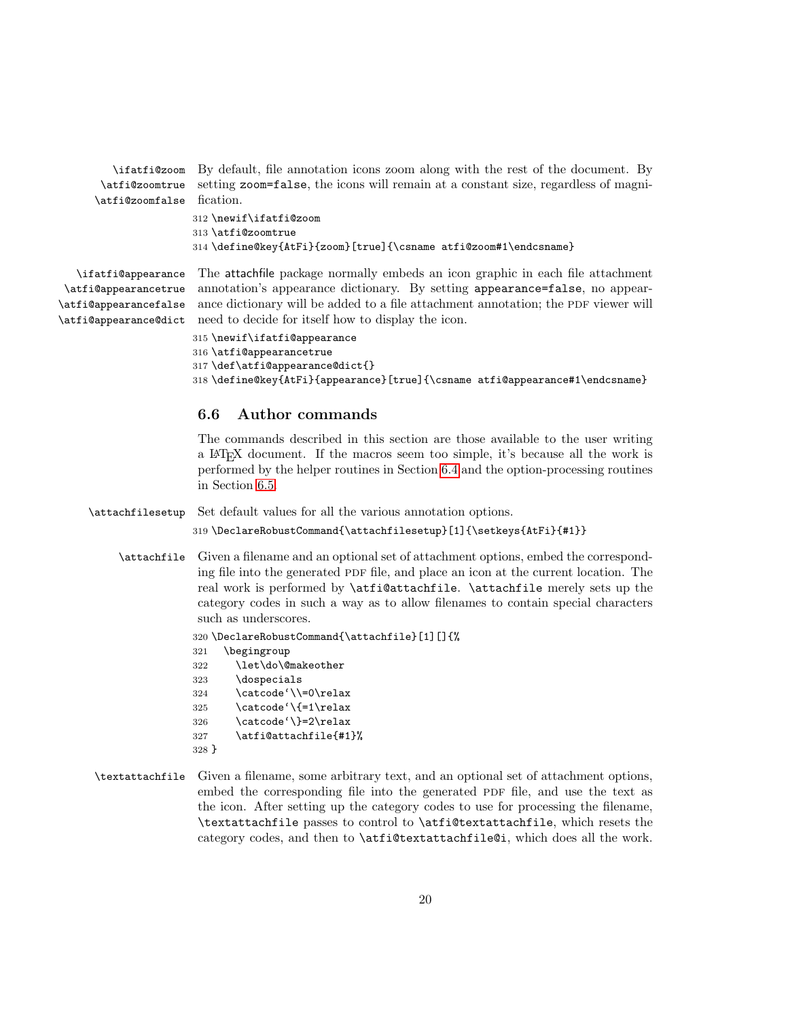\ifatfi@zoom \atfi@zoomtrue \atfi@zoomfalse fication. By default, file annotation icons zoom along with the rest of the document. By setting zoom=false, the icons will remain at a constant size, regardless of magni-

```
312 \newif\ifatfi@zoom
313 \atfi@zoomtrue
314 \define@key{AtFi}{zoom}[true]{\csname atfi@zoom#1\endcsname}
```
\ifatfi@appearance \atfi@appearancetrue \atfi@appearancefalse \atfi@appearance@dict

The attachfile package normally embeds an icon graphic in each file attachment annotation's appearance dictionary. By setting appearance=false, no appearance dictionary will be added to a file attachment annotation; the PDF viewer will need to decide for itself how to display the icon.

```
315 \newif\ifatfi@appearance
316 \atfi@appearancetrue
317 \def\atfi@appearance@dict{}
318 \define@key{AtFi}{appearance}[true]{\csname atfi@appearance#1\endcsname}
```
### 6.6 Author commands

The commands described in this section are those available to the user writing a LATEX document. If the macros seem too simple, it's because all the work is performed by the helper routines in Section [6.4](#page-11-0) and the option-processing routines in Section [6.5.](#page-15-0)

\attachfilesetup Set default values for all the various annotation options.

```
319 \DeclareRobustCommand{\attachfilesetup}[1]{\setkeys{AtFi}{#1}}
```
\attachfile Given a filename and an optional set of attachment options, embed the corresponding file into the generated PDF file, and place an icon at the current location. The real work is performed by \atfi@attachfile. \attachfile merely sets up the category codes in such a way as to allow filenames to contain special characters such as underscores.

```
320 \DeclareRobustCommand{\attachfile}[1][]{%
321 \begingroup
322 \let\do\@makeother
323 \dospecials
324 \catcode'\\=0\relax
325 \catcode'\{=1\relax
326 \catcode'\}=2\relax
327 \atfi@attachfile{#1}%
328 }
```
\textattachfile Given a filename, some arbitrary text, and an optional set of attachment options, embed the corresponding file into the generated PDF file, and use the text as the icon. After setting up the category codes to use for processing the filename, \textattachfile passes to control to \atfi@textattachfile, which resets the category codes, and then to \atfi@textattachfile@i, which does all the work.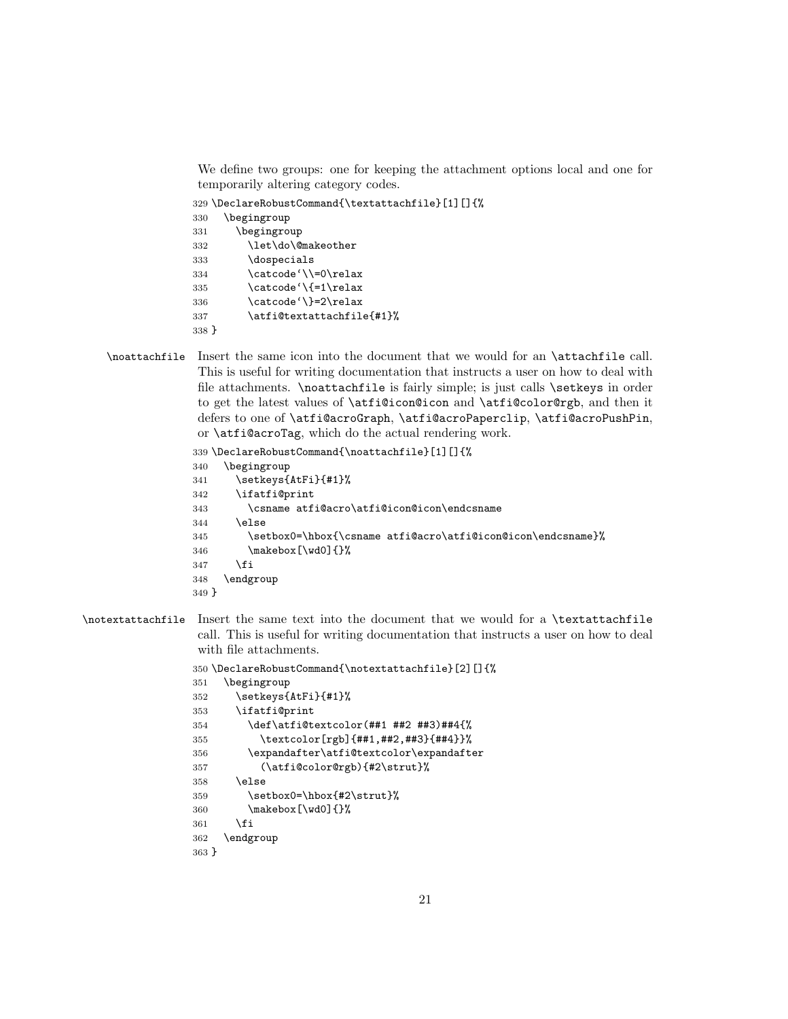We define two groups: one for keeping the attachment options local and one for temporarily altering category codes.

\DeclareRobustCommand{\textattachfile}[1][]{%

```
330 \begingroup
331 \begingroup
332 \let\do\@makeother
333 \dospecials
334 \catcode'\\=0\relax
335 \catcode'\{=1\relax
336 \catcode'\}=2\relax
337 \atfi@textattachfile{#1}%
338 }
```
\noattachfile Insert the same icon into the document that we would for an \attachfile call. This is useful for writing documentation that instructs a user on how to deal with file attachments. \noattachfile is fairly simple; is just calls \setkeys in order to get the latest values of \atfi@icon@icon and \atfi@color@rgb, and then it defers to one of \atfi@acroGraph, \atfi@acroPaperclip, \atfi@acroPushPin, or \atfi@acroTag, which do the actual rendering work.

```
339 \DeclareRobustCommand{\noattachfile}[1][]{%
340 \begingroup
341 \setkeys{AtFi}{#1}%
342 \ifatfi@print
343 \csname atfi@acro\atfi@icon@icon\endcsname
344 \else
345 \setbox0=\hbox{\csname atfi@acro\atfi@icon@icon\endcsname}%
346 \makebox[\wd0]{}%
347 \fi
348 \endgroup
349 }
```
### \notextattachfile Insert the same text into the document that we would for a \textattachfile call. This is useful for writing documentation that instructs a user on how to deal with file attachments.

```
350 \DeclareRobustCommand{\notextattachfile}[2][]{%
351 \begingroup
352 \setkeys{AtFi}{#1}%
353 \ifatfi@print
354 \def\atfi@textcolor(##1 ##2 ##3)##4{%
355 \textcolor[rgb]{##1,##2,##3}{##4}}%
356 \expandafter\atfi@textcolor\expandafter
357 (\atfi@color@rgb){#2\strut}%
358 \else
359 \setbox0=\hbox{#2\strut}%
360 \makebox[\wd0]{}%
361 \fi
362 \endgroup
363 }
```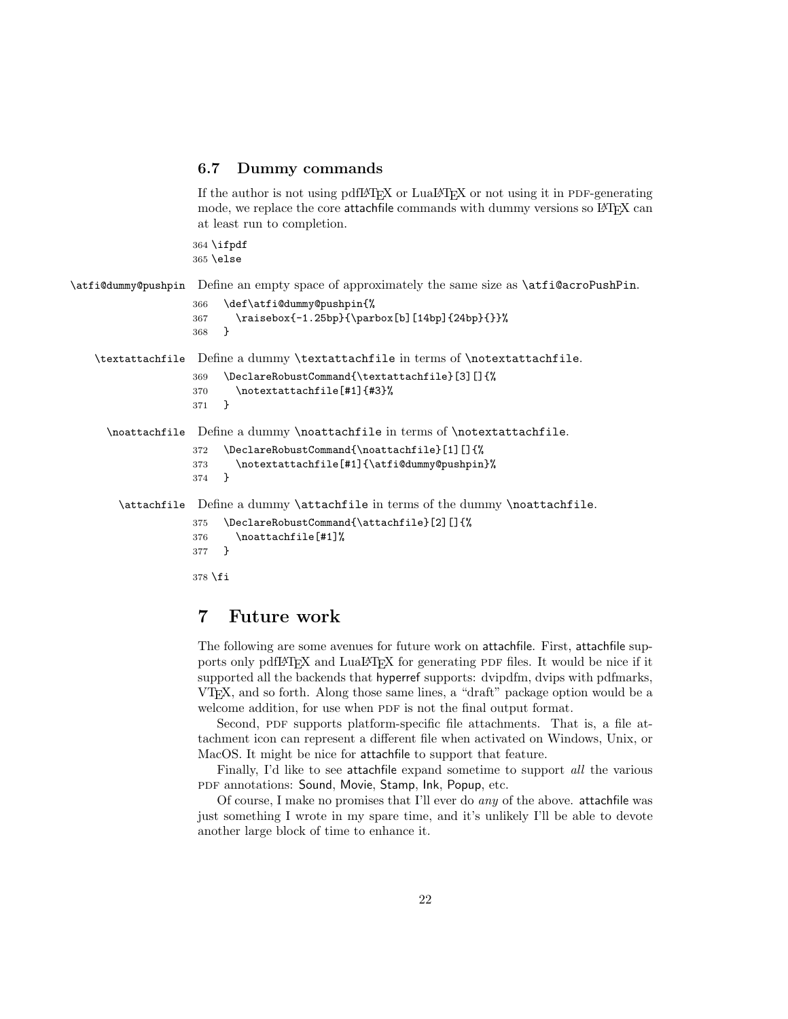### <span id="page-21-0"></span>6.7 Dummy commands

If the author is not using pdfLAT<sub>EX</sub> or LuaLAT<sub>EX</sub> or not using it in PDF-generating mode, we replace the core attachfile commands with dummy versions so L<sup>AT</sup>EX can at least run to completion.

364 \ifpdf 365 \else

\atfi@dummy@pushpin Define an empty space of approximately the same size as \atfi@acroPushPin.

```
366 \def\atfi@dummy@pushpin{%
367 \raisebox{-1.25bp}{\parbox[b][14bp]{24bp}{}}%
368 }
```
\textattachfile Define a dummy \textattachfile in terms of \notextattachfile.

```
369 \DeclareRobustCommand{\textattachfile}[3][]{%
370 \notextattachfile[#1]{#3}%
371 }
```
\noattachfile Define a dummy \noattachfile in terms of \notextattachfile.

```
372 \DeclareRobustCommand{\noattachfile}[1][]{%
373 \notextattachfile[#1]{\atfi@dummy@pushpin}%
374 }
```
\attachfile Define a dummy \attachfile in terms of the dummy \noattachfile.

```
375 \DeclareRobustCommand{\attachfile}[2][]{%
376 \noattachfile[#1]%
377 }
378 \fi
```
### 7 Future work

The following are some avenues for future work on attachfile. First, attachfile supports only pdfLAT<sub>EX</sub> and LuaLAT<sub>EX</sub> for generating PDF files. It would be nice if it supported all the backends that hyperref supports: dvipdfm, dvips with pdfmarks, VTEX, and so forth. Along those same lines, a "draft" package option would be a welcome addition, for use when PDF is not the final output format.

Second, PDF supports platform-specific file attachments. That is, a file attachment icon can represent a different file when activated on Windows, Unix, or MacOS. It might be nice for attachfile to support that feature.

Finally, I'd like to see attachfile expand sometime to support all the various PDF annotations: Sound, Movie, Stamp, Ink, Popup, etc.

Of course, I make no promises that I'll ever do any of the above. attachfile was just something I wrote in my spare time, and it's unlikely I'll be able to devote another large block of time to enhance it.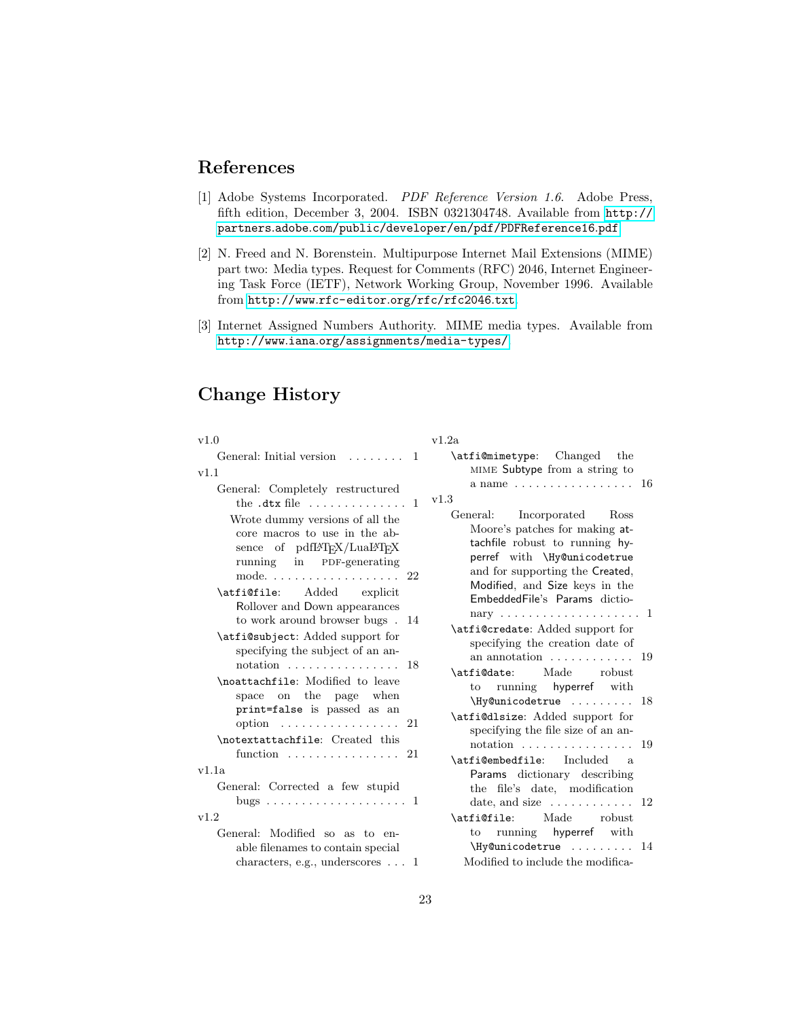# References

- <span id="page-22-2"></span>[1] Adobe Systems Incorporated. PDF Reference Version 1.6. Adobe Press, fifth edition, December 3, 2004. ISBN 0321304748. Available from [http://](http://partners.adobe.com/public/developer/en/pdf/PDFReference16.pdf) partners.adobe.[com/public/developer/en/pdf/PDFReference16](http://partners.adobe.com/public/developer/en/pdf/PDFReference16.pdf).pdf.
- <span id="page-22-0"></span>[2] N. Freed and N. Borenstein. Multipurpose Internet Mail Extensions (MIME) part two: Media types. Request for Comments (RFC) 2046, Internet Engineering Task Force (IETF), Network Working Group, November 1996. Available from http://www.rfc-editor.[org/rfc/rfc2046](http://www.rfc-editor.org/rfc/rfc2046.txt).txt.
- <span id="page-22-1"></span>[3] Internet Assigned Numbers Authority. MIME media types. Available from http://www.iana.[org/assignments/media-types/](http://www.iana.org/assignments/media-types/).

# Change History

| v1.0                                                                                                                                                                                                           | v1.2a                                                                                                                                                                                                                               |
|----------------------------------------------------------------------------------------------------------------------------------------------------------------------------------------------------------------|-------------------------------------------------------------------------------------------------------------------------------------------------------------------------------------------------------------------------------------|
| General: Initial version<br>$\overline{1}$                                                                                                                                                                     | \atfi@mimetype: Changed<br>the                                                                                                                                                                                                      |
| v1.1                                                                                                                                                                                                           | MIME Subtype from a string to<br>a name $\ldots \ldots \ldots \ldots \ldots 16$                                                                                                                                                     |
| General: Completely restructured<br>the $.dx$ file $\ldots \ldots \ldots$<br>-1                                                                                                                                | v1.3                                                                                                                                                                                                                                |
| Wrote dummy versions of all the<br>core macros to use in the ab-<br>sence of pdfIATEX/LuaIATEX<br>running in PDF-generating<br>22<br>mode. $\dots \dots \dots \dots \dots \dots$<br>\atfi@file: Added explicit | General: Incorporated Ross<br>Moore's patches for making at-<br>tachfile robust to running hy-<br>perref with \Hy@unicodetrue<br>and for supporting the Created,<br>Modified, and Size keys in the<br>EmbeddedFile's Params dictio- |
| Rollover and Down appearances<br>to work around browser bugs. 14                                                                                                                                               |                                                                                                                                                                                                                                     |
| \atfi@subject: Added support for<br>specifying the subject of an an-<br>notation $\dots \dots \dots \dots \dots \dots 18$                                                                                      | \atfi@credate: Added support for<br>specifying the creation date of<br>an annotation $\dots\dots\dots\dots$<br>19                                                                                                                   |
| \noattachfile: Modified to leave<br>space on the<br>page when<br>print=false is passed as an                                                                                                                   | Made robust<br>\atfi@date:<br>to running hyperref with<br>$\N$ y Cunicodetrue  18                                                                                                                                                   |
| option  21                                                                                                                                                                                                     | \atfi@dlsize: Added support for<br>specifying the file size of an an-                                                                                                                                                               |
| \notextattachfile: Created this<br>21<br>function                                                                                                                                                              | 19<br>$notation \ldots \ldots \ldots \ldots$<br>\atfi@embedfile: Included<br>- a                                                                                                                                                    |
| v1.1a                                                                                                                                                                                                          | Params dictionary describing                                                                                                                                                                                                        |
| General: Corrected a few stupid                                                                                                                                                                                | the file's date, modification<br>date, and size $\dots \dots \dots \dots 12$                                                                                                                                                        |
| v1.2                                                                                                                                                                                                           | \atfi@file: Made robust                                                                                                                                                                                                             |
| General: Modified so as to en-<br>able filenames to contain special<br>characters, e.g., underscores $\dots$ 1                                                                                                 | to running hyperref with<br>\Hy@unicodetrue  14<br>Modified to include the modifica-                                                                                                                                                |
|                                                                                                                                                                                                                |                                                                                                                                                                                                                                     |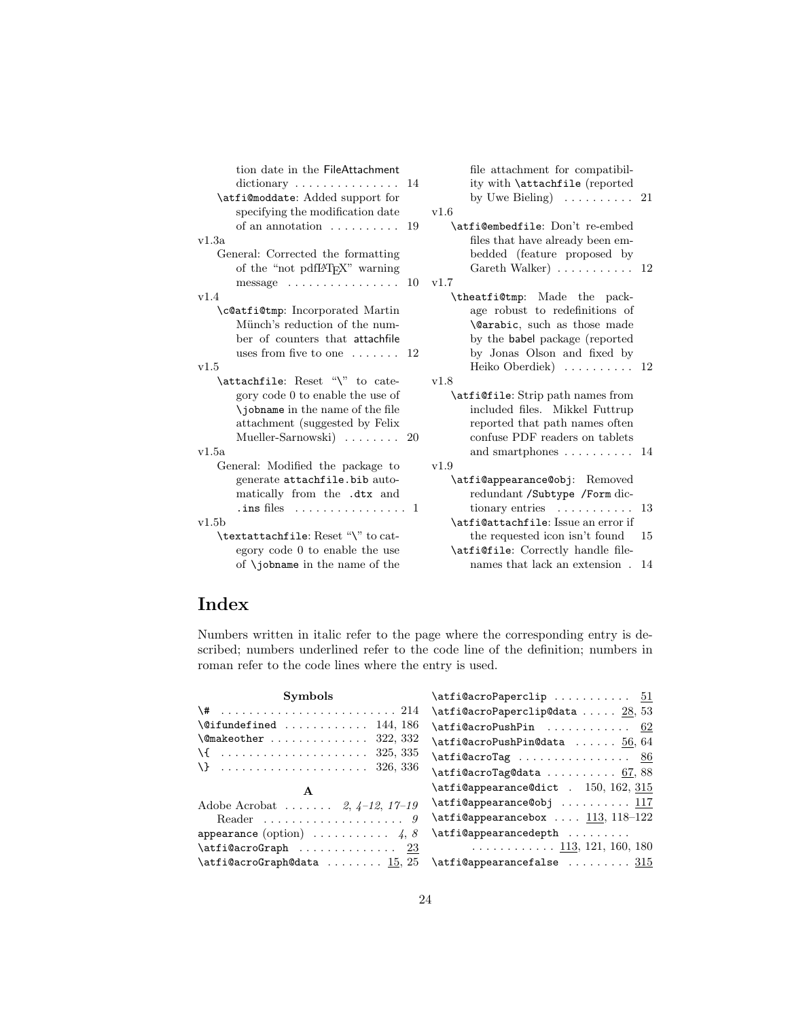| tion date in the FileAttachment<br>$\text{dictionary} \dots \dots \dots \dots \dots \quad 14$<br>\atfi@moddate: Added support for<br>specifying the modification date |     | file attachment for compatibil-<br>ity with <i>\attachfile</i> (reported<br>by Uwe Bieling) $\ldots \ldots \ldots 21$<br>v1.6                                                     |    |
|-----------------------------------------------------------------------------------------------------------------------------------------------------------------------|-----|-----------------------------------------------------------------------------------------------------------------------------------------------------------------------------------|----|
| of an annotation $\dots\dots\dots$                                                                                                                                    | -19 | \atfi@embedfile: Don't re-embed                                                                                                                                                   |    |
| v1.3a                                                                                                                                                                 |     | files that have already been em-                                                                                                                                                  |    |
| General: Corrected the formatting<br>of the "not pdfIAT <sub>F</sub> X" warning                                                                                       |     | bedded (feature proposed by<br>Gareth Walker) $\ldots \ldots \ldots 12$                                                                                                           |    |
| message $\ldots \ldots \ldots \ldots 10$                                                                                                                              |     | v1.7                                                                                                                                                                              |    |
| v1.4                                                                                                                                                                  |     | \theatfi@tmp: Made the pack-                                                                                                                                                      |    |
| \c@atfi@tmp: Incorporated Martin                                                                                                                                      |     | age robust to redefinitions of                                                                                                                                                    |    |
| Münch's reduction of the num-<br>ber of counters that attachfile                                                                                                      |     | \@arabic, such as those made<br>by the <b>babel</b> package (reported                                                                                                             |    |
| uses from five to one $\dots \dots 12$                                                                                                                                |     | by Jonas Olson and fixed by                                                                                                                                                       |    |
| v1.5                                                                                                                                                                  |     | Heiko Oberdiek $\}$ 12                                                                                                                                                            |    |
| \attachfile: Reset "\" to cate-                                                                                                                                       |     | v1.8                                                                                                                                                                              |    |
| gory code 0 to enable the use of<br>\jobname in the name of the file<br>attachment (suggested by Felix<br>Mueller-Sarnowski $\ldots \ldots \ldots$ 20<br>v1.5a        |     | \atfi@file: Strip path names from<br>included files. Mikkel Futtrup<br>reported that path names often<br>confuse PDF readers on tablets<br>and smartphones $\dots \dots \dots 14$ |    |
| General: Modified the package to                                                                                                                                      |     | v1.9                                                                                                                                                                              |    |
| generate attachfile.bib auto-<br>matically from the .dtx and                                                                                                          |     | \atfi@appearance@obj: Removed<br>redundant /Subtype /Form dic-                                                                                                                    |    |
| . ins files $\ldots \ldots \ldots \ldots 1$                                                                                                                           |     | tionary entries $\ldots \ldots \ldots$                                                                                                                                            | 13 |
| v1.5b                                                                                                                                                                 |     | \atfi@attachfile: Issue an error if                                                                                                                                               |    |
| \textattachfile: Reset "\" to cat-                                                                                                                                    |     | the requested icon isn't found                                                                                                                                                    | 15 |
| egory code 0 to enable the use                                                                                                                                        |     | \atfi@file: Correctly handle file-                                                                                                                                                |    |
| of $\iota$ iobname in the name of the                                                                                                                                 |     | names that lack an extension.                                                                                                                                                     | 14 |

# Index

Numbers written in italic refer to the page where the corresponding entry is described; numbers underlined refer to the code line of the definition; numbers in roman refer to the code lines where the entry is used.

| $\texttt{defi@acroPaper} \texttt{clip} \dots \dots \dots \quad \frac{51}{51}$ |
|-------------------------------------------------------------------------------|
| $\text{defi@acroPaperclip@data} \ldots \ldots \frac{28}{53}$                  |
| $\texttt{defi@acroPushPin}$ 62                                                |
| $\text{Aut}$ i@acroPushPin@data  56,64                                        |
| $\texttt{\alpha}$ ro $\texttt{Tag}$ <u>86</u>                                 |
| $\text{Affi@acroTag@data} \dots \dots \dots \dots \dots \dots \dots$          |
| $\text{diffi@appearance@dict}$ . 150, 162, 315                                |
| \atfi@appearance@obj  117                                                     |
| $\texttt{a}$ : 113, 118-122                                                   |
| \atfi@appearancedepth                                                         |
| $\ldots \ldots \ldots \ldots 113, 121, 160, 180$                              |
| $\texttt{letif@appearancefalse}$ $315$                                        |
|                                                                               |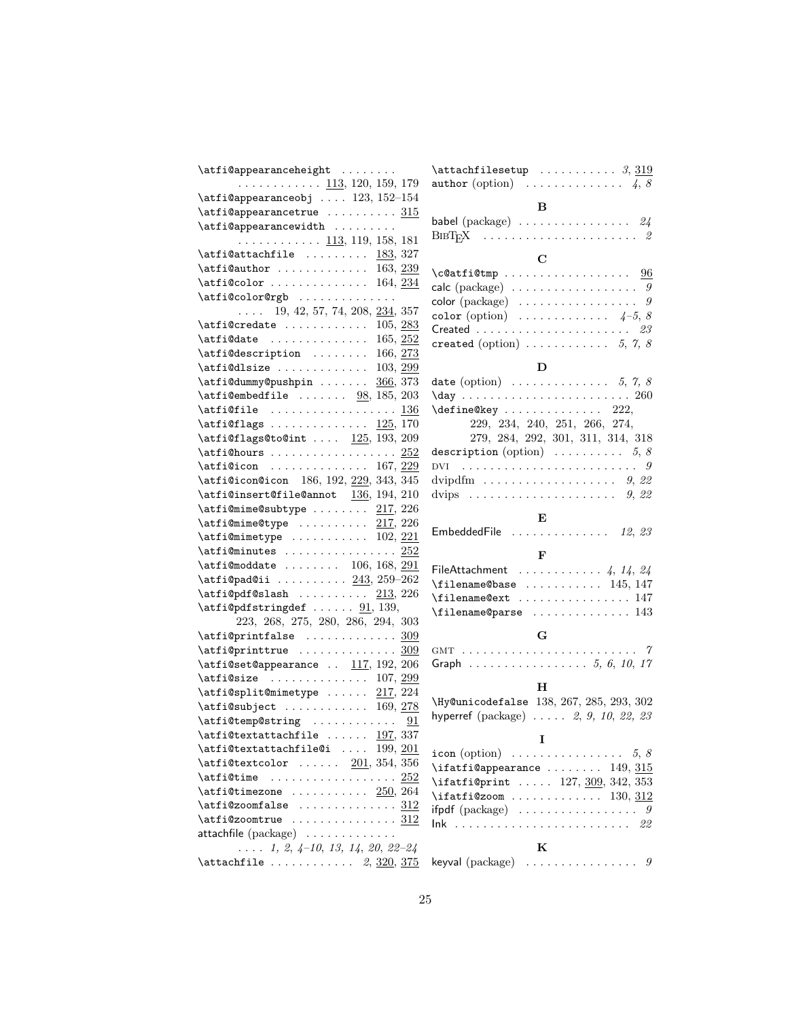| \atfi@appearanceheight                                                                                                                        |  |
|-----------------------------------------------------------------------------------------------------------------------------------------------|--|
| $\ldots \ldots \ldots \ldots \frac{113}{130}$ , 120, 159, 179                                                                                 |  |
| $\verb+\atfi@appearanceobj + \ldots 123, 152-154$                                                                                             |  |
| $\text{Affi@appear}$ ancetrue  315                                                                                                            |  |
| $\alpha$ pearancewidth                                                                                                                        |  |
| <u>113</u> , 119, 158, 181                                                                                                                    |  |
|                                                                                                                                               |  |
|                                                                                                                                               |  |
| $\lambda$ tfi@color  164, $\overline{234}$                                                                                                    |  |
| \atfi@color@rgb                                                                                                                               |  |
| $\ldots$ 19, 42, 57, 74, 208, 234, 357                                                                                                        |  |
| $\texttt{atfi@credate} \dots \dots \dots \dots \ 105, \underline{283}$                                                                        |  |
|                                                                                                                                               |  |
| $\alpha t$ in the set of $\alpha t$ is the set of $\alpha$ is $\alpha$ 166, 273<br>\atfi@description                                          |  |
| $\lambda$ ifi@dlsize  103, 299                                                                                                                |  |
| \atfi@dummy@pushpin  366, 373                                                                                                                 |  |
| $\text{atfi@embedfile} \ldots \ldots \quad \underline{98}, 185, 203$                                                                          |  |
|                                                                                                                                               |  |
| $\text{diffi@flags} \dots \dots \dots \dots \_125, 170$                                                                                       |  |
| $\text{diff1ags@toQint} \ldots \quad \frac{125}{193, 209}$                                                                                    |  |
|                                                                                                                                               |  |
| $\text{diff}$ icon  167, 229                                                                                                                  |  |
| \atfi@icon@icon 186, 192, 229, 343, 345                                                                                                       |  |
| $\verb+\affi@insert@file@annot{}_136, 194, 210$                                                                                               |  |
| $\text{Affim}$ e@subtype $217, 226$                                                                                                           |  |
| $\text{Autfi@mime@type}$ $\frac{217}{216}$ , 226                                                                                              |  |
| $\text{diff}$ Cominetype  102, 221                                                                                                            |  |
|                                                                                                                                               |  |
|                                                                                                                                               |  |
| $\texttt{ifimoddate} \dots \dots \ 106, 168, \underline{291}$                                                                                 |  |
| $\label{eq:atifilp} \texttt{affilpadd} \texttt{G1}: \dots \dots \dots \underline{243}, 259-262$<br>$\text{diff\text{-}log}($ slash $213, 226$ |  |
| $\text{diff\text{-}logdef} \dots \dots \underline{91}$ , 139,                                                                                 |  |
| 223, 268, 275, 280, 286, 294, 303                                                                                                             |  |
|                                                                                                                                               |  |
|                                                                                                                                               |  |
| $\texttt{attribute} \dots \dots \dots \dots \underline{309}$                                                                                  |  |
| $\texttt{diff@set@appearance}$ $\underline{117}$ , 192, 206                                                                                   |  |
| $\text{Affi@size}$ 107, 299<br>$\text{Aut}$ split@mimetype $\frac{217}{224}$                                                                  |  |
|                                                                                                                                               |  |
| $\text{diff}$ Catfi@subject  169, 278                                                                                                         |  |
| $\verb+\affi@temp@string + \dots + \dots + 91+$                                                                                               |  |
| 197, 337<br>\atfi@textattachfile                                                                                                              |  |
| $\verb+\atfidtext+attachfile@i  199, \underline{201}$                                                                                         |  |
| $\label{eq:atifm} \texttt{dfticextcolor} \quad \ldots \quad \underline{201},\, 354,\, 356$                                                    |  |
| $\text{Affim}$ e  252                                                                                                                         |  |
| $\text{diff}$ utrimezone $250, 264$                                                                                                           |  |
| $\texttt{atfi@zoomfalse}$ 312                                                                                                                 |  |
| $\verb \affi@zoomtrue  \dots \dots \dots \dots \underline{312}$                                                                               |  |
| attachfile (package)                                                                                                                          |  |
| $\ldots$ 1, 2, 4-10, 13, 14, 20, 22-24                                                                                                        |  |
| \attachfile $2, \frac{320}{375}$                                                                                                              |  |

| author (option) $\ldots \ldots \ldots \ldots$ 4, 8                                              |
|-------------------------------------------------------------------------------------------------|
|                                                                                                 |
| B<br>babel $(\text{package})$ $24$                                                              |
|                                                                                                 |
| $\mathbf C$                                                                                     |
| \c@atfi@tmp  96                                                                                 |
| calc (package) $\ldots \ldots \ldots \ldots \ldots$                                             |
| color (package) $\ldots \ldots \ldots \ldots \ldots$                                            |
| color (option) $\ldots \ldots \ldots \ldots$ 4-5, 8                                             |
| Created $\ldots \ldots \ldots \ldots \ldots \ldots \ldots 23$                                   |
| created (option) $\ldots \ldots \ldots 5, 7, 8$                                                 |
|                                                                                                 |
| D                                                                                               |
| date (option) $\ldots \ldots \ldots \ldots 5, 7, 8$                                             |
| $\day \ldots \ldots \ldots \ldots \ldots \ldots 260$                                            |
| $\{\text{define@key } \dots \dots \dots \ 222,$                                                 |
| 229, 234, 240, 251, 266, 274,                                                                   |
| ${\bf 279}, \ {\bf 284}, \ {\bf 292}, \ {\bf 301}, \ {\bf 311}, \ {\bf 314}, \ {\bf 318}$       |
| description (option) $\ldots \ldots \ldots 5, 8$                                                |
| 9<br>DVI                                                                                        |
| dvipdfm 9, 22                                                                                   |
|                                                                                                 |
|                                                                                                 |
| E                                                                                               |
| EmbeddedFile $\ldots \ldots \ldots \ldots 12, 23$                                               |
| $\mathbf{F}$                                                                                    |
| FileAttachment $\ldots \ldots \ldots \ldots 4, 14, 24$                                          |
| $\theta$ and $\theta$ 145, 147                                                                  |
| $\theta$ 147                                                                                    |
| $\theta$ and $\theta$ 143                                                                       |
|                                                                                                 |
| G                                                                                               |
| . . 7                                                                                           |
| Graph 5, 6, 10, 17                                                                              |
|                                                                                                 |
| н                                                                                               |
| \Hy@unicodefalse 138, 267, 285, 293, 302                                                        |
| hyperref $(\text{package}) \dots 2, 9, 10, 22, 23$                                              |
| 1                                                                                               |
|                                                                                                 |
| icon (option) $\ldots \ldots \ldots \ldots \ldots 5, 8$                                         |
| $\text{ifaffi@appearance} \ldots \ldots \quad 149, \frac{315}{110}$                             |
| \ifatfi@print  127, 309, 342, 353<br>$\left\{ \text{ifaffi@zoom} \ldots \ldots \ldots \right\}$ |
| 130, 312                                                                                        |
| $ifpdf$ (package) $\ldots$ .<br>. 9                                                             |
| $lnk$<br>22<br>$\alpha$ , $\alpha$ , $\alpha$                                                   |
| K                                                                                               |
| keyval (package)<br>9                                                                           |
|                                                                                                 |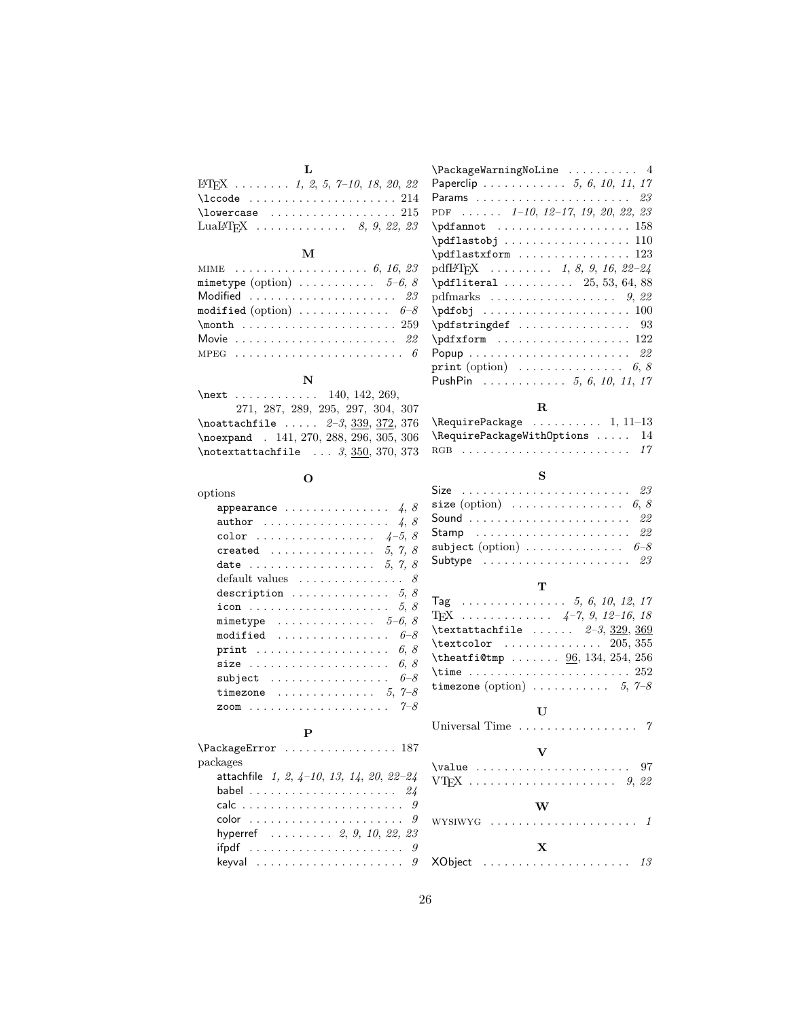| . т.                                                       |
|------------------------------------------------------------|
| L <sup>4</sup> T <sub>F</sub> X  1, 2, 5, 7-10, 18, 20, 22 |
| $\setminus$ lccode  214                                    |
| $\lambda$ lowercase  215                                   |
| LuaL <sup>4</sup> T <sub>F</sub> X  8, 9, 22, 23           |

## M

| MIME $6, 16, 23$                                    |
|-----------------------------------------------------|
| mimetype (option) $\ldots \ldots \ldots 5-6, 8$     |
| Modified $23$                                       |
| modified (option) $\ldots \ldots \ldots \ldots 6-8$ |
|                                                     |
| Movie $22$                                          |
|                                                     |

# N

| \next  140, 142, 269,                                 |
|-------------------------------------------------------|
| 271, 287, 289, 295, 297, 304, 307                     |
| $\lambda$ 100attachfile $2-3, 339, 372, 376$          |
| \noexpand . 141, 270, 288, 296, 305, 306              |
| $\hbox{\tt notextattachfile} \ldots 3, 350, 370, 373$ |

# O

| options                                         |
|-------------------------------------------------|
| appearance $\ldots \ldots \ldots \ldots \ldots$ |
| author $4, 8$                                   |
| color $4-5, 8$                                  |
| created  5, 7, 8                                |
| date  5, 7, 8                                   |
| default values $\ldots \ldots \ldots \ldots$ 8  |
| description $5, 8$                              |
| icon $5, 8$                                     |
| mimetype $\ldots \ldots \ldots \ldots 5-6, 8$   |
| modified<br>$6 - 8$                             |
| print $6, 8$                                    |
| size $6, 8$                                     |
| $subject \dots \dots \dots \dots \dots$<br>6–8  |
| timezone $\ldots \ldots \ldots \ldots 5, 7-8$   |
| $7 - 8$<br>zoom                                 |

# P

| packages                                   |
|--------------------------------------------|
| attachfile $1, 2, 4-10, 13, 14, 20, 22-24$ |
|                                            |
|                                            |
|                                            |
| hyperref 2, 9, 10, 22, 23                  |
|                                            |
|                                            |

| $\{\text{Packag}$ eWarningNoLine  4                             |
|-----------------------------------------------------------------|
| Paperclip 5, 6, 10, 11, 17                                      |
|                                                                 |
| PDF $1-10$ , $12-17$ , $19$ , $20$ , $22$ , $23$                |
| $\qquad \qquad \ldots \ldots \qquad \qquad 158$                 |
|                                                                 |
| $\pdflastxform \ldots \ldots \ldots \ldots 123$                 |
| pdfI $\text{F}$ T <sub>F</sub> X  1, 8, 9, 16, 22-24            |
| $\text{4.88}$                                                   |
|                                                                 |
| $\qquad \qquad \qquad \qquad \qquad 100$                        |
| 93                                                              |
| $\qquad \qquad \ldots \ldots \qquad 122$                        |
|                                                                 |
| <b>print</b> (option) $\ldots \ldots \ldots \ldots \ldots 6, 8$ |
| PushPin 5, 6, 10, 11, 17                                        |

# R

| $\begin{bmatrix} \text{Required} \\ \text{Required} \\ \text{dmatrix} \\ \text{dmatrix} \\ \text{dmatrix} \\ \text{ematrix} \\ \text{fmatrix} \\ \text{fmatrix} \\ \text{gmatrix} \\ \text{hmatrix} \\ \text{hmatrix} \\ \text{hmatrix} \\ \text{hmatrix} \\ \text{hmatrix} \\ \text{hmatrix} \\ \text{hmatrix} \\ \text{hmatrix} \\ \text{hmatrix} \\ \text{hmatrix} \\ \text{hmatrix} \\ \text{hmatrix} \\ \text{hmatrix} \\ \text{hmatrix} \\ \text{hmatrix} \\ \text{hmatrix} \\ \text{hmatrix} \\ \text{hmatrix} \\ \text{hmatrix} \\ \text{hmatrix} \\ \text{hmatrix} \\ \text{hmatrix}$ |  |
|------------------------------------------------------------------------------------------------------------------------------------------------------------------------------------------------------------------------------------------------------------------------------------------------------------------------------------------------------------------------------------------------------------------------------------------------------------------------------------------------------------------------------------------------------------------------------------------------|--|
| $\lambda$ 14                                                                                                                                                                                                                                                                                                                                                                                                                                                                                                                                                                                   |  |
|                                                                                                                                                                                                                                                                                                                                                                                                                                                                                                                                                                                                |  |

## S

| Size $\ldots \ldots \ldots \ldots \ldots \ldots \ldots \ldots \ldots$                 |  |
|---------------------------------------------------------------------------------------|--|
| size (option) $\ldots \ldots \ldots \ldots \ldots 6, 8$                               |  |
| Sound  22                                                                             |  |
| $\mathsf{Stamp}\quad\ldots\ldots\ldots\ldots\ldots\ldots\ldots\ldots\quad\mathit{22}$ |  |
| $\texttt{subject}\ (\text{option})\ \ldots\ \ldots\ \ldots\ \ldots\quad 6\text{--}8$  |  |
| Subtype $\ldots \ldots \ldots \ldots \ldots \ldots \ldots \;$ 23                      |  |

# T

| Tag 5, 6, 10, 12, 17                            |
|-------------------------------------------------|
| T <sub>F</sub> X $4-7, 9, 12-16, 18$            |
| \textattachfile $\ldots$ $2-3$ , $329$ , $369$  |
| $\text{textcolor}$ 205, 355                     |
| \theatfi@tmp $96, 134, 254, 256$                |
|                                                 |
| timezone (option) $\ldots \ldots \ldots 5, 7-8$ |
|                                                 |

### $\mathbf U$

Universal Time  $\dots \dots \dots \dots \dots$  7

# V

|  |  |  | W |  |  |  |  |  |  |
|--|--|--|---|--|--|--|--|--|--|
|  |  |  | X |  |  |  |  |  |  |